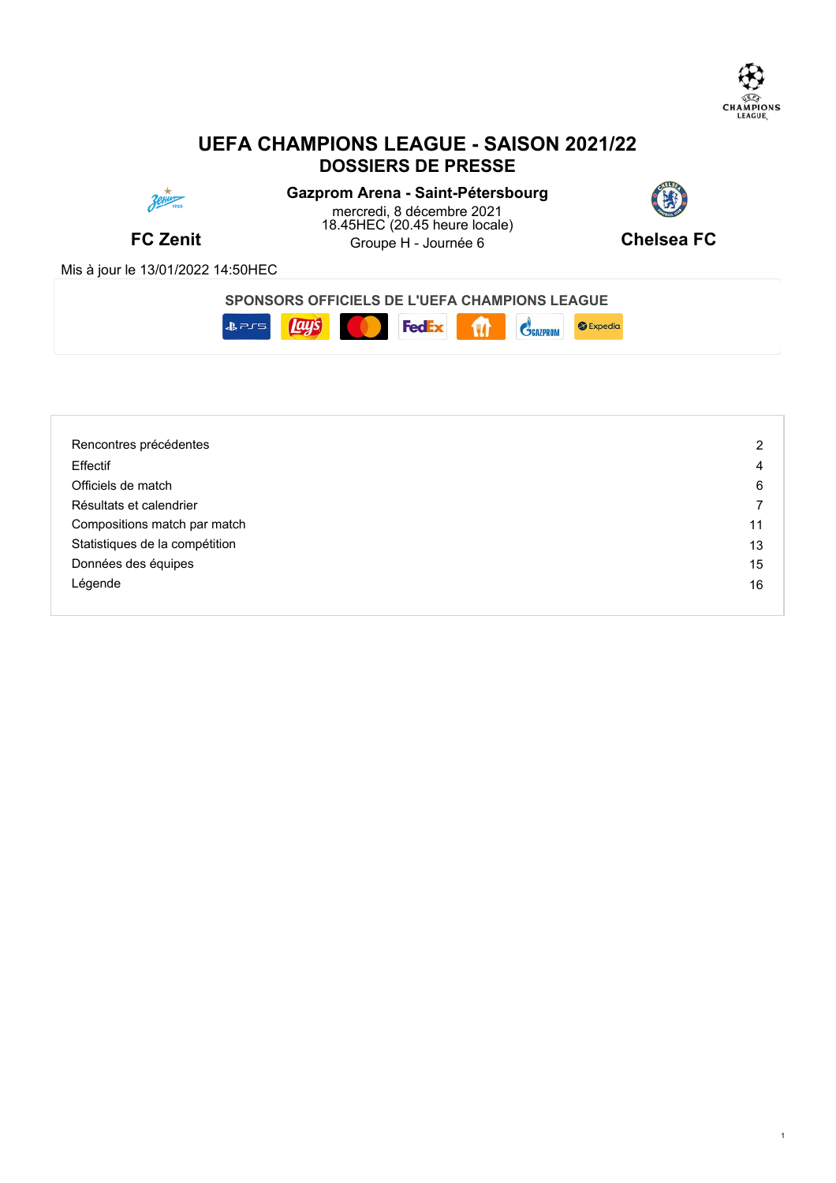

# **UEFA CHAMPIONS LEAGUE - SAISON 2021/22 DOSSIERS DE PRESSE**



**FC Zenit Example H** - Journée 6 **Chelsea FC Chelsea FC Gazprom Arena - Saint-Pétersbourg** mercredi, 8 décembre 2021 18.45HEC (20.45 heure locale)



Mis à jour le 13/01/2022 14:50HEC

**SPONSORS OFFICIELS DE L'UEFA CHAMPIONS LEAGUE**



| Rencontres précédentes         | 2  |
|--------------------------------|----|
| Effectif                       | 4  |
| Officiels de match             | 6  |
| Résultats et calendrier        |    |
| Compositions match par match   | 11 |
| Statistiques de la compétition | 13 |
| Données des équipes            | 15 |
| Légende                        | 16 |
|                                |    |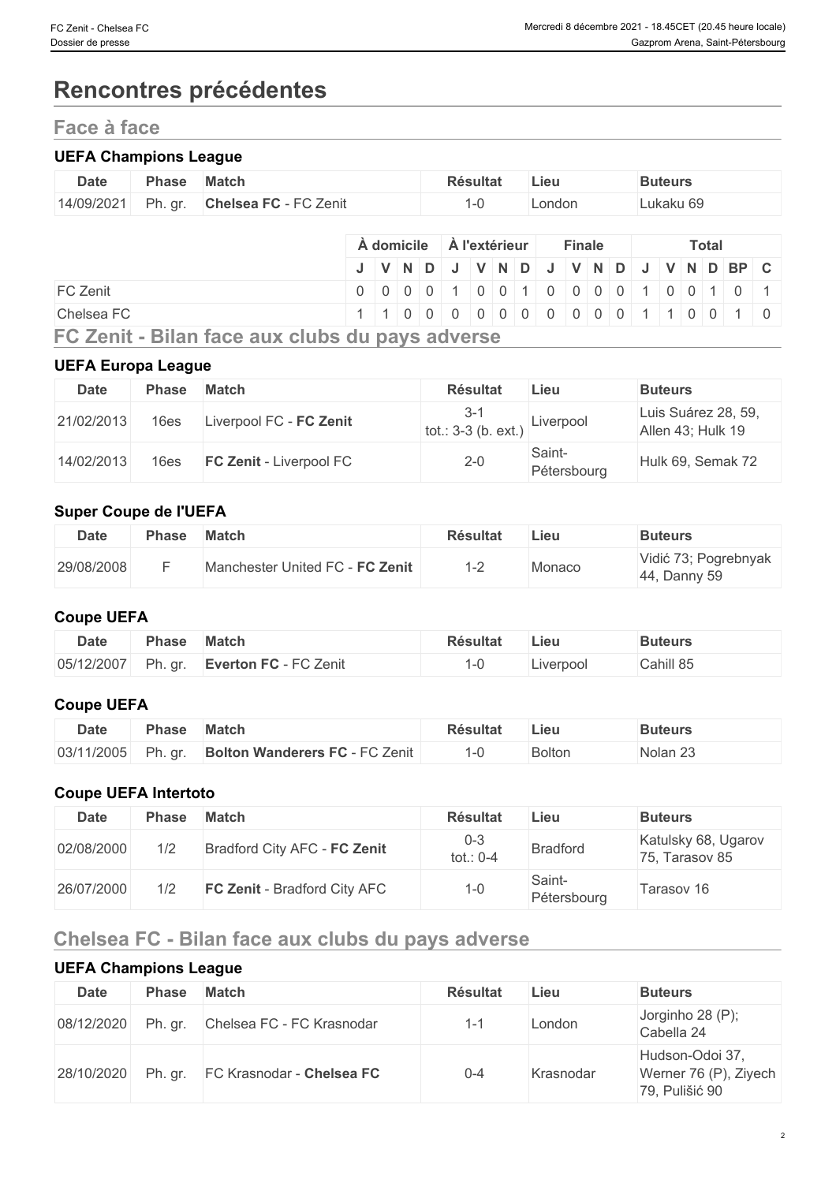# **Rencontres précédentes**

# **Face à face**

### **UEFA Champions League**

| <b>Date</b> | Phase   | <b>Match</b>          | <b>Résultat</b> | Lieu   | <b>Buteurs</b> |
|-------------|---------|-----------------------|-----------------|--------|----------------|
| 14/09/2021  | Ph. gr. | Chelsea FC - FC Zenit | . .<br>`        | London | ukaku 69       |

|                                                | A domicile |  |  | A l'extérieur |  | <b>Finale</b> |  |  | <b>Total</b> |                                                                        |
|------------------------------------------------|------------|--|--|---------------|--|---------------|--|--|--------------|------------------------------------------------------------------------|
|                                                |            |  |  |               |  |               |  |  |              | J   V   N   D   J   V   N   D   J   V   N   D   J   V   N   D   BP   C |
| <b>FC Zenit</b>                                |            |  |  |               |  |               |  |  |              | 0 0 0 0 0 1 0 0 1 0 0 0 0 0 1 0 0 1 0 0 1                              |
| Chelsea FC                                     |            |  |  |               |  |               |  |  |              | 1 1 0 0 0 0 0 0 0 0 0 0 0 0 1 1 0 0 1 0                                |
| FO Zanit Dilan fasa ann ahila du nana aduana a |            |  |  |               |  |               |  |  |              |                                                                        |

**FC Zenit - Bilan face aux clubs du pays adverse**

### **UEFA Europa League**

| <b>Date</b> | <b>Phase</b> | <b>Match</b>                   | <b>Résultat</b>                      | ∟ieu                  | <b>Buteurs</b>                           |
|-------------|--------------|--------------------------------|--------------------------------------|-----------------------|------------------------------------------|
| 21/02/2013  | 16es         | Liverpool FC - FC Zenit        | $3 - 1$<br>  tot.: 3-3 (b. ext.) $ $ | Liverpool             | Luis Suárez 28, 59,<br>Allen 43; Hulk 19 |
| 14/02/2013  | 16es         | <b>FC Zenit - Liverpool FC</b> | $2 - 0$                              | Saint-<br>Pétersbourg | Hulk 69, Semak 72                        |

### **Super Coupe de l'UEFA**

| <b>Date</b> | <b>Phase</b> | <b>Match</b>                    | <b>Résultat</b> | Lieu   | <b>Buteurs</b>                       |
|-------------|--------------|---------------------------------|-----------------|--------|--------------------------------------|
| 29/08/2008  |              | Manchester United FC - FC Zenit | ı — .           | Monaco | Vidić 73; Pogrebnyak<br>44, Danny 59 |

#### **Coupe UEFA**

| <b>Date</b> | Phase       | <b>Match</b>          | <b>Résultat</b> | Lieu      | Buteurs   |
|-------------|-------------|-----------------------|-----------------|-----------|-----------|
| 05/12/2007  | Ph.<br>. ar | Everton FC - FC Zenit | '-U             | Liverpool | Cahill 85 |

# **Coupe UEFA**

| <b>Date</b> | Phase         | Match                                                    | Résultat | ∠ieu   | <b>Buteurs</b> |
|-------------|---------------|----------------------------------------------------------|----------|--------|----------------|
| 03/11/2005  | $-1.9$<br>Ph⊢ | $E \cap Z$<br><b>Bolton Wanderers FC - FC</b><br>: Zenit |          | Bolton | Nolan 2.       |

#### **Coupe UEFA Intertoto**

| <b>Date</b> | <b>Phase</b> | Match                               | <b>Résultat</b>      | Lieu                  | <b>Buteurs</b>                        |
|-------------|--------------|-------------------------------------|----------------------|-----------------------|---------------------------------------|
| 02/08/2000  | 1/2          | Bradford City AFC - FC Zenit        | $0 - 3$<br>tot.: 0-4 | <b>Bradford</b>       | Katulsky 68, Ugarov<br>75, Tarasov 85 |
| 26/07/2000  | 1/2          | <b>FC Zenit - Bradford City AFC</b> | 1-0                  | Saint-<br>Pétersbourg | Tarasov 16                            |

# **Chelsea FC - Bilan face aux clubs du pays adverse**

#### **UEFA Champions League**

| <b>Date</b> | <b>Phase</b> | <b>Match</b>                        | <b>Résultat</b> | Lieu      | <b>Buteurs</b>                                             |
|-------------|--------------|-------------------------------------|-----------------|-----------|------------------------------------------------------------|
| 08/12/2020  | Ph. gr.      | Chelsea FC - FC Krasnodar           | $1 - 1$         | London    | Jorginho 28 (P);<br>Cabella 24                             |
| 28/10/2020  |              | Ph. gr.   FC Krasnodar - Chelsea FC | $0 - 4$         | Krasnodar | Hudson-Odoi 37,<br>Werner 76 (P), Ziyech<br>79, Pulišić 90 |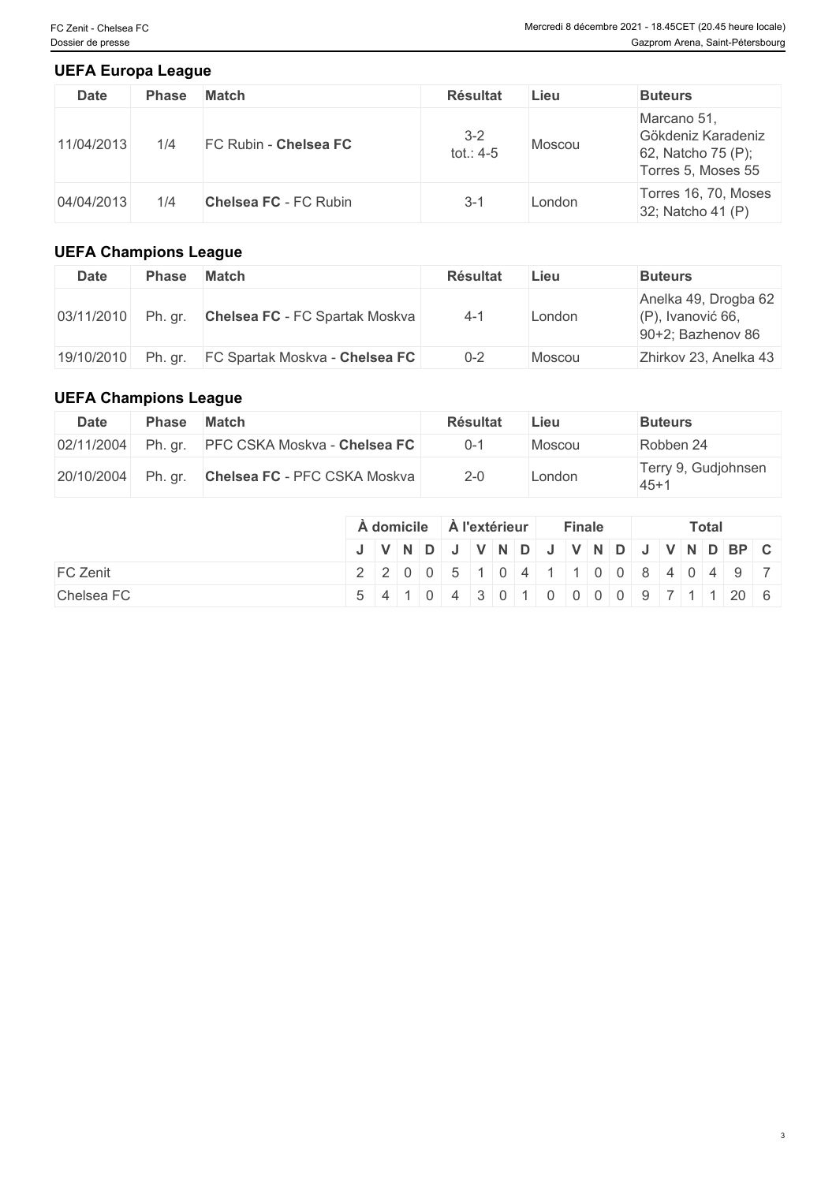#### **UEFA Europa League**

| <b>Date</b> | <b>Phase</b> | <b>Match</b>                 | <b>Résultat</b>        | Lieu   | <b>Buteurs</b>                                                                |
|-------------|--------------|------------------------------|------------------------|--------|-------------------------------------------------------------------------------|
| 11/04/2013  | 1/4          | FC Rubin - Chelsea FC        | $3 - 2$<br>tot.: $4-5$ | Moscou | Marcano 51,<br>Gökdeniz Karadeniz<br>62, Natcho 75 (P);<br>Torres 5, Moses 55 |
| 04/04/2013  | 1/4          | <b>Chelsea FC - FC Rubin</b> | 3-1                    | London | Torres 16, 70, Moses<br>32; Natcho 41 (P)                                     |

### **UEFA Champions League**

| Date       | <b>Phase</b> | <b>Match</b>                   | <b>Résultat</b> | Lieu   | <b>Buteurs</b>                                                       |
|------------|--------------|--------------------------------|-----------------|--------|----------------------------------------------------------------------|
| 03/11/2010 | Ph. gr.      | Chelsea FC - FC Spartak Moskva | $4 - 1$         | London | Anelka 49, Drogba 62<br>$(P)$ , Ivanović 66,<br>$90+2$ ; Bazhenov 86 |
| 19/10/2010 | Ph. gr.      | FC Spartak Moskva - Chelsea FC | $0 - 2$         | Moscou | Zhirkov 23, Anelka 43                                                |

## **UEFA Champions League**

| Date       | <b>Phase</b> | Match                                | <b>Résultat</b> | Lieu   | <b>Buteurs</b>                |
|------------|--------------|--------------------------------------|-----------------|--------|-------------------------------|
| 02/11/2004 |              | Ph. gr. PFC CSKA Moskva - Chelsea FC | $0 - 1$         | Moscou | Robben 24                     |
| 20/10/2004 | Ph. gr.      | <b>Chelsea FC - PFC CSKA Moskva</b>  | $2 - 0$         | _ondon | Terry 9, Gudjohnsen<br>$45+1$ |

|            | A domicile |  | ∣ A l'extérieur |  |  | <b>Finale</b> |  |  | <b>Total</b> |                                                                        |  |
|------------|------------|--|-----------------|--|--|---------------|--|--|--------------|------------------------------------------------------------------------|--|
|            |            |  |                 |  |  |               |  |  |              | J   V   N   D   J   V   N   D   J   V   N   D   J   V   N   D   BP   C |  |
| FC Zenit   |            |  |                 |  |  |               |  |  |              | 2 2 0 0 5 1 0 4 1 1 0 0 8 4 0 4 9 7                                    |  |
| Chelsea FC |            |  |                 |  |  |               |  |  |              | $5$ 4 1 0 4 3 0 1 0 0 0 0 0 9 7 1 1 20 6                               |  |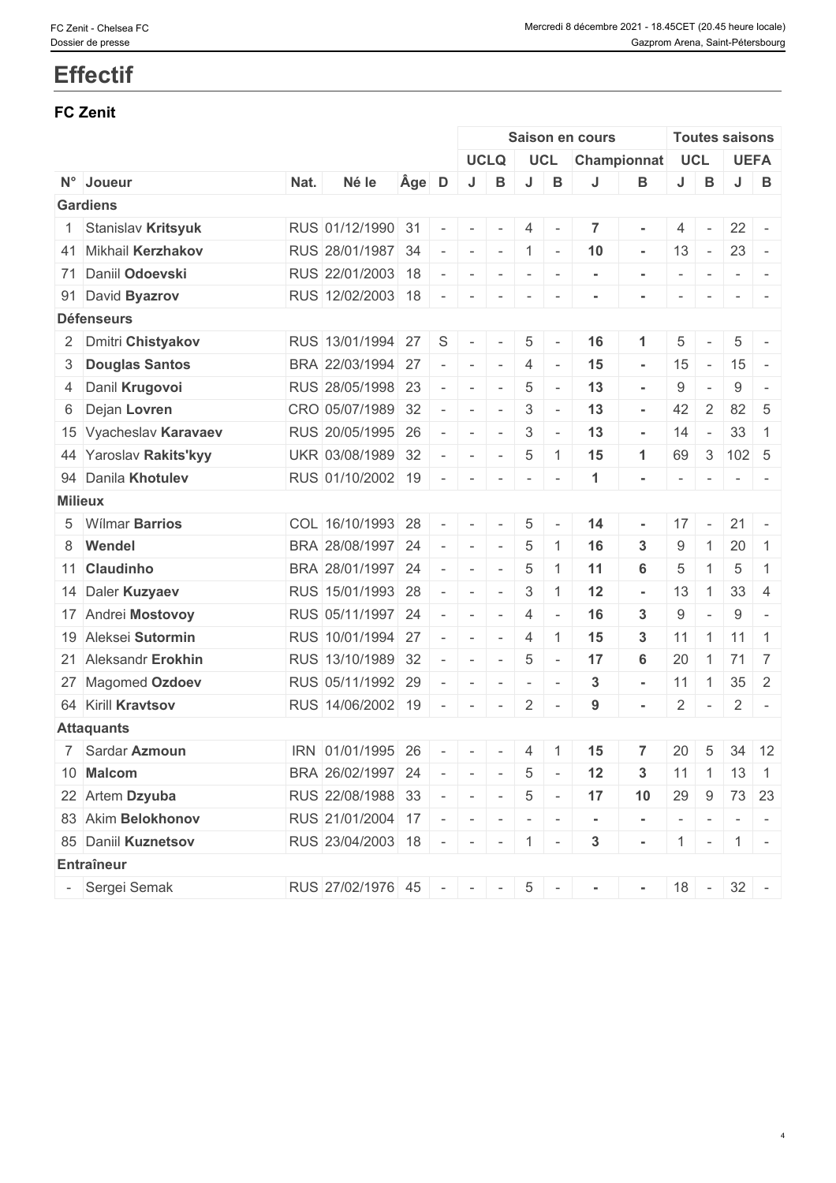# **Effectif**

### **FC Zenit**

|                        |      |                             |    |                          |                                 |                           |                 |                          | Saison en cours          |                |                          | <b>Toutes saisons</b>    |                                                                                                                                                                                                                                                                                                                                                                                                                                                                                       |                                                           |  |  |  |  |
|------------------------|------|-----------------------------|----|--------------------------|---------------------------------|---------------------------|-----------------|--------------------------|--------------------------|----------------|--------------------------|--------------------------|---------------------------------------------------------------------------------------------------------------------------------------------------------------------------------------------------------------------------------------------------------------------------------------------------------------------------------------------------------------------------------------------------------------------------------------------------------------------------------------|-----------------------------------------------------------|--|--|--|--|
|                        |      |                             |    |                          |                                 | <b>UCLQ</b>               |                 | UCL                      | Championnat              |                | <b>UCL</b>               |                          |                                                                                                                                                                                                                                                                                                                                                                                                                                                                                       | <b>UEFA</b>                                               |  |  |  |  |
| N° Joueur              | Nat. | Né le                       |    | Age D                    | J                               | B                         | J               | B                        | J                        | В              | J                        | B                        |                                                                                                                                                                                                                                                                                                                                                                                                                                                                                       | $J$ B                                                     |  |  |  |  |
| <b>Gardiens</b>        |      |                             |    |                          |                                 |                           |                 |                          |                          |                |                          |                          |                                                                                                                                                                                                                                                                                                                                                                                                                                                                                       |                                                           |  |  |  |  |
| 1 Stanislav Kritsyuk   |      | RUS 01/12/1990 31           |    | $\sim$                   | $\sim$                          | $\sim$                    | 4               | $\sim$                   | 7                        |                | 4                        | $\overline{\phantom{a}}$ | $22 -$                                                                                                                                                                                                                                                                                                                                                                                                                                                                                |                                                           |  |  |  |  |
| 41 Mikhail Kerzhakov   |      | RUS 28/01/1987 34           |    | $\sim$                   | $\mathbb{R}$                    | $\mathbf{r} = \mathbf{r}$ | $\vert$ 1       | $\sim$                   | 10                       | $\sim$         | 13                       | $\sim$                   | $23 -$                                                                                                                                                                                                                                                                                                                                                                                                                                                                                |                                                           |  |  |  |  |
| 71 Daniil Odoevski     |      | RUS 22/01/2003 18           |    |                          | $\sim$                          | $\sim$                    | $\sim$          | $\overline{\phantom{a}}$ | $\sim$                   | $\sim$         | $\overline{\phantom{a}}$ | $\mathbb{R}^{n-1}$       | $\sim$ $\sim$ $\sim$                                                                                                                                                                                                                                                                                                                                                                                                                                                                  |                                                           |  |  |  |  |
| 91 David Byazrov       |      | RUS 12/02/2003 18           |    | $\sim$                   | $\sim$                          | $\sim$                    | $\sim$          | $\overline{\phantom{a}}$ |                          |                | $\overline{\phantom{a}}$ | $\overline{\phantom{a}}$ |                                                                                                                                                                                                                                                                                                                                                                                                                                                                                       | $\begin{array}{cccccccccc} - & & & & & & & - \end{array}$ |  |  |  |  |
| <b>Défenseurs</b>      |      |                             |    |                          |                                 |                           |                 |                          |                          |                |                          |                          |                                                                                                                                                                                                                                                                                                                                                                                                                                                                                       |                                                           |  |  |  |  |
| 2 Dmitri Chistyakov    |      | RUS 13/01/1994 27           |    | S                        | $\sim$                          | $\sim$                    | $\overline{5}$  | $\overline{\phantom{a}}$ | 16                       |                | 5                        | $\sim$                   | 5                                                                                                                                                                                                                                                                                                                                                                                                                                                                                     | $\overline{\phantom{a}}$                                  |  |  |  |  |
| 3 Douglas Santos       |      | BRA 22/03/1994              | 27 | $\sim$                   | $\sim$                          | $\sim$                    | 4               | $\overline{\phantom{a}}$ | 15                       | $\sim$         | 15                       | $\sim$                   | $15 -$                                                                                                                                                                                                                                                                                                                                                                                                                                                                                |                                                           |  |  |  |  |
| 4 Danil Krugovoi       |      | RUS 28/05/1998 23           |    | $\sim$                   | $\sim$                          | $\overline{\phantom{a}}$  | $\overline{5}$  | $\sim$                   | 13                       | $\sim$         | 9                        | $\overline{\phantom{a}}$ | 9                                                                                                                                                                                                                                                                                                                                                                                                                                                                                     | $\overline{a}$                                            |  |  |  |  |
| 6 Dejan Lovren         |      | CRO 05/07/1989 32           |    | $\sim$                   | $\sim$                          | $\sim$                    | 3               | $\overline{\phantom{a}}$ | 13                       | $\sim$         | 42                       | $\overline{2}$           | 82 5                                                                                                                                                                                                                                                                                                                                                                                                                                                                                  |                                                           |  |  |  |  |
| 15 Vyacheslav Karavaev |      | RUS 20/05/1995 26           |    | $\sim$                   | $\sim$                          | $\sim$                    | 3               | $\overline{\phantom{a}}$ | 13                       | $\sim$         | 14                       | $\sim$                   | 33                                                                                                                                                                                                                                                                                                                                                                                                                                                                                    | $\overline{1}$                                            |  |  |  |  |
| 44 Yaroslav Rakits'kyy |      | UKR 03/08/1989 32           |    | $\sim$                   | $\sim$                          | $\sim$                    | $\overline{5}$  | -1                       | 15                       | $\mathbf{1}$   | 69                       | $\mathcal{S}$            | 102 5                                                                                                                                                                                                                                                                                                                                                                                                                                                                                 |                                                           |  |  |  |  |
| 94 Danila Khotulev     |      | RUS 01/10/2002 19 -         |    |                          | $\sim$                          | $\sim$                    | $\sim$          | $\overline{\phantom{a}}$ | $\mathbf{1}$             |                | $\overline{\phantom{a}}$ | $\sim$                   | $\begin{array}{ccccccccccccc} \multicolumn{2}{c}{} & \multicolumn{2}{c}{} & \multicolumn{2}{c}{} & \multicolumn{2}{c}{} & \multicolumn{2}{c}{} & \multicolumn{2}{c}{} & \multicolumn{2}{c}{} & \multicolumn{2}{c}{} & \multicolumn{2}{c}{} & \multicolumn{2}{c}{} & \multicolumn{2}{c}{} & \multicolumn{2}{c}{} & \multicolumn{2}{c}{} & \multicolumn{2}{c}{} & \multicolumn{2}{c}{} & \multicolumn{2}{c}{} & \multicolumn{2}{c}{} & \multicolumn{2}{c}{} & \multicolumn{2}{c}{} & \$ |                                                           |  |  |  |  |
| <b>Milieux</b>         |      |                             |    |                          |                                 |                           |                 |                          |                          |                |                          |                          |                                                                                                                                                                                                                                                                                                                                                                                                                                                                                       |                                                           |  |  |  |  |
| 5 Wilmar Barrios       |      | COL 16/10/1993 28           |    | $\sim$                   | $\overline{\phantom{a}}$        |                           | 5               |                          | 14                       | $\sim$         | 17                       | $\overline{\phantom{a}}$ | $21 -$                                                                                                                                                                                                                                                                                                                                                                                                                                                                                |                                                           |  |  |  |  |
| 8 Wendel               |      | BRA 28/08/1997 24           |    | $\sim$                   | $\sim$                          | $\overline{\phantom{a}}$  | $\overline{5}$  | -1                       | 16                       | 3              | 9                        | $\mathbf{1}$             | 20                                                                                                                                                                                                                                                                                                                                                                                                                                                                                    | $\overline{1}$                                            |  |  |  |  |
| 11 Claudinho           |      | BRA 28/01/1997 24           |    | $\overline{\phantom{a}}$ | $\sim$                          | $\sim$                    | $\overline{5}$  | -1                       | 11                       | 6              | 5                        | $\mathbf{1}$             | 5                                                                                                                                                                                                                                                                                                                                                                                                                                                                                     | $\overline{1}$                                            |  |  |  |  |
| 14 Daler Kuzyaev       |      | RUS 15/01/1993 28           |    | $\sim$                   | $\sim$                          | $\sim$                    | 3               |                          | 12                       | $\sim$         | 13                       | $\mathbf{1}$             | 33 <sup>1</sup>                                                                                                                                                                                                                                                                                                                                                                                                                                                                       | $\overline{4}$                                            |  |  |  |  |
| 17 Andrei Mostovoy     |      | RUS 05/11/1997 24           |    | $\sim$                   | $\sim$                          | $\overline{\phantom{a}}$  | 4               | $\overline{\phantom{a}}$ | 16                       | 3              | 9                        | $\overline{\phantom{a}}$ | 9                                                                                                                                                                                                                                                                                                                                                                                                                                                                                     | $\overline{a}$                                            |  |  |  |  |
| 19 Aleksei Sutormin    |      | RUS 10/01/1994 27           |    | $\sim$                   | $\sim$                          | $\sim$                    | 4               | $\overline{1}$           | 15                       | 3 <sup>1</sup> |                          |                          | $11 \mid 1 \mid 11 \mid 1$                                                                                                                                                                                                                                                                                                                                                                                                                                                            |                                                           |  |  |  |  |
| 21 Aleksandr Erokhin   |      | RUS 13/10/1989 32           |    | $\sim$                   | $\sim$                          | $\sim$                    | $\overline{5}$  | $\overline{\phantom{a}}$ | 17                       | 6              | 20                       | $\overline{1}$           | 71 7                                                                                                                                                                                                                                                                                                                                                                                                                                                                                  |                                                           |  |  |  |  |
| 27 Magomed Ozdoev      |      | RUS 05/11/1992 29           |    | $\sim$                   | $\sim$                          | $\sim$                    | $\sim$          | $\sim$                   | $\mathbf{3}$             | $\sim$         | 11                       | $\overline{1}$           | $35 \quad 2$                                                                                                                                                                                                                                                                                                                                                                                                                                                                          |                                                           |  |  |  |  |
| 64 Kirill Kravtsov     |      | RUS 14/06/2002 19           |    | $\sim$ $ \sim$           | $\sim$                          | $\sim$                    | $\overline{2}$  | $\overline{\phantom{a}}$ | 9                        | $\blacksquare$ | $\overline{2}$           | $\sim$                   |                                                                                                                                                                                                                                                                                                                                                                                                                                                                                       | $2$ -                                                     |  |  |  |  |
| <b>Attaquants</b>      |      |                             |    |                          |                                 |                           |                 |                          |                          |                |                          |                          |                                                                                                                                                                                                                                                                                                                                                                                                                                                                                       |                                                           |  |  |  |  |
| 7 Sardar Azmoun        |      | IRN 01/01/1995 26           |    | $\sim$                   | $\sim$                          | $\sim$                    | $\overline{4}$  | $\overline{1}$           | 15                       | $\overline{7}$ | 20                       | $5\phantom{.0}$          |                                                                                                                                                                                                                                                                                                                                                                                                                                                                                       | 34 12                                                     |  |  |  |  |
| 10 Malcom              |      | BRA 26/02/1997 24           |    |                          |                                 | $\sim$                    | 5               | $\sim$                   | $12$                     | 3              | 11                       |                          | $1 \mid 13 \mid 1$                                                                                                                                                                                                                                                                                                                                                                                                                                                                    |                                                           |  |  |  |  |
| 22 Artem Dzyuba        |      | RUS 22/08/1988 33           |    | $\sim$                   | $\sim$                          | $\mathbf{r}$              | $5\phantom{.0}$ | $\sim$                   | 17                       | 10             | 29                       |                          | $9 \mid 73 \mid 23$                                                                                                                                                                                                                                                                                                                                                                                                                                                                   |                                                           |  |  |  |  |
| 83 Akim Belokhonov     |      | RUS 21/01/2004 17           |    |                          | $\mathcal{A}=\{1,2,3,4,5,6,6\}$ |                           | $\mathbf{r}$    | $\sim$                   | $\overline{\phantom{a}}$ |                | $\sim$                   |                          | $1 - 1 - 1 -$                                                                                                                                                                                                                                                                                                                                                                                                                                                                         |                                                           |  |  |  |  |
| 85 Daniil Kuznetsov    |      | RUS 23/04/2003 18 - - - - 1 |    |                          |                                 |                           |                 | $\sim$                   | $\mathbf{3}$             | $\sim$         |                          |                          | $1 - 1 -$                                                                                                                                                                                                                                                                                                                                                                                                                                                                             |                                                           |  |  |  |  |
| Entraîneur             |      |                             |    |                          |                                 |                           |                 |                          |                          |                |                          |                          |                                                                                                                                                                                                                                                                                                                                                                                                                                                                                       |                                                           |  |  |  |  |
| - Sergei Semak         |      | RUS 27/02/1976 45 - - -     |    |                          |                                 |                           | $5\overline{)}$ | $\sim$                   |                          | $\blacksquare$ |                          |                          | $18 - 32 -$                                                                                                                                                                                                                                                                                                                                                                                                                                                                           |                                                           |  |  |  |  |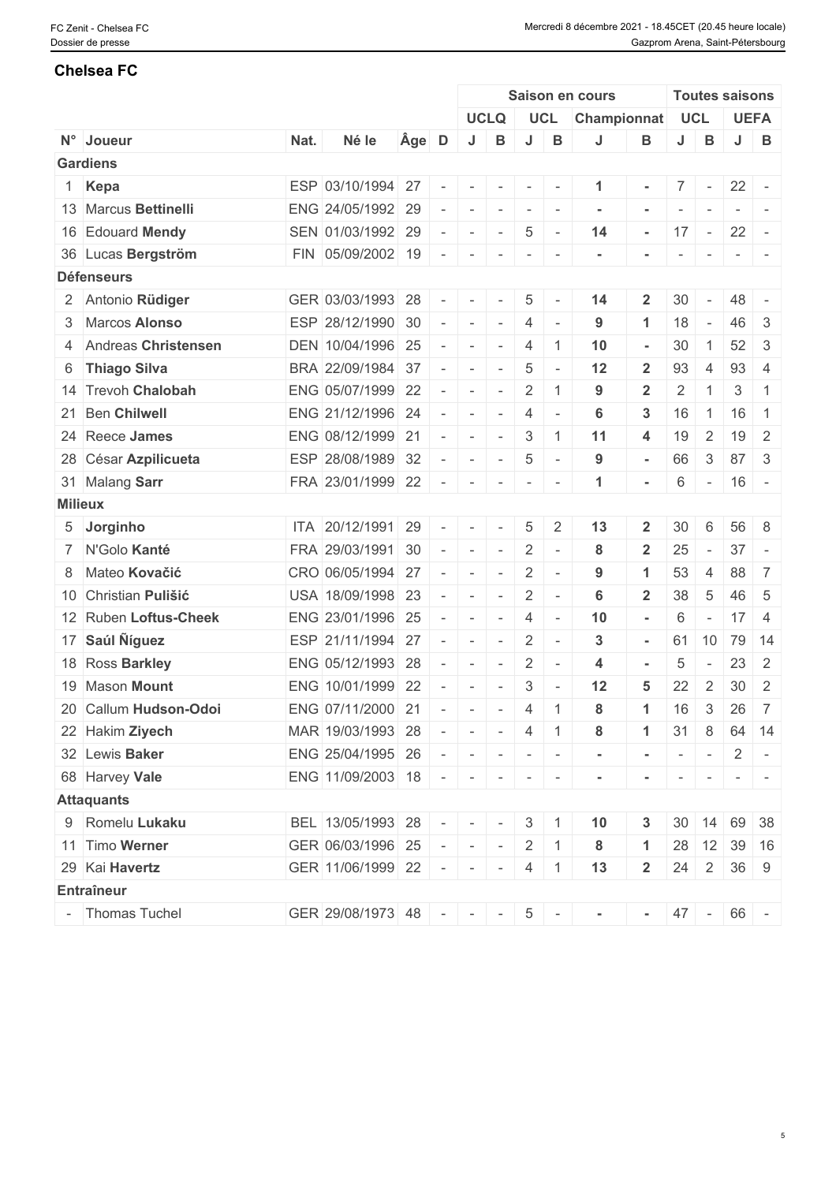#### **Chelsea FC**

|                       |      |                               |       |                          |                 |                          |                                                                                                   |                          | Saison en cours |                          |                                                                                                             |                          | <b>Toutes saisons</b> |                                                                                                                                                                                                                                                                                                                                                                                                                                                                                           |  |  |
|-----------------------|------|-------------------------------|-------|--------------------------|-----------------|--------------------------|---------------------------------------------------------------------------------------------------|--------------------------|-----------------|--------------------------|-------------------------------------------------------------------------------------------------------------|--------------------------|-----------------------|-------------------------------------------------------------------------------------------------------------------------------------------------------------------------------------------------------------------------------------------------------------------------------------------------------------------------------------------------------------------------------------------------------------------------------------------------------------------------------------------|--|--|
|                       |      |                               |       |                          |                 | <b>UCLQ</b>              |                                                                                                   | <b>UCL</b>               | Championnat UCL |                          |                                                                                                             | <b>UEFA</b>              |                       |                                                                                                                                                                                                                                                                                                                                                                                                                                                                                           |  |  |
| N° Joueur             | Nat. | Né le                         | Âge D |                          | J               | B                        | J                                                                                                 | В                        |                 | В                        | J                                                                                                           | B                        | J                     | B                                                                                                                                                                                                                                                                                                                                                                                                                                                                                         |  |  |
| <b>Gardiens</b>       |      |                               |       |                          |                 |                          |                                                                                                   |                          |                 |                          |                                                                                                             |                          |                       |                                                                                                                                                                                                                                                                                                                                                                                                                                                                                           |  |  |
| 1 Kepa                |      | ESP 03/10/1994 27             |       | $\sim$                   |                 |                          | $\sim$                                                                                            | $\sim$                   | -1              | $\blacksquare$           |                                                                                                             | $7$ -                    | $22 -$                |                                                                                                                                                                                                                                                                                                                                                                                                                                                                                           |  |  |
| 13 Marcus Bettinelli  |      | ENG 24/05/1992 29             |       | $\sim$                   |                 | $ -$                     | $\begin{array}{cccccccccc} \bullet & \bullet & \bullet & \bullet & \bullet & \bullet \end{array}$ |                          | $\sim$          |                          |                                                                                                             | $\overline{\phantom{a}}$ |                       | $ -$                                                                                                                                                                                                                                                                                                                                                                                                                                                                                      |  |  |
| 16 Edouard Mendy      |      | SEN 01/03/1992 29             |       | $\overline{\phantom{a}}$ | $\sim$          | $\mathbb{R}$             | $\overline{5}$                                                                                    | $\sim$                   | 14              | $\blacksquare$           | $ 17  -  $                                                                                                  |                          | 22                    | $\sim$                                                                                                                                                                                                                                                                                                                                                                                                                                                                                    |  |  |
| 36 Lucas Bergström    |      | FIN 05/09/2002 19             |       | $\sim$                   | $\sim$          | $\sim$                   | $\sim$                                                                                            | $\overline{\phantom{a}}$ |                 |                          |                                                                                                             | $\overline{\phantom{a}}$ |                       | $\begin{array}{c c c c c c} \hline \multicolumn{1}{c }{\multicolumn{1}{c }{\multicolumn{1}{c}}}{\multicolumn{1}{c}} & \multicolumn{1}{c }{\multicolumn{1}{c}}{\multicolumn{1}{c}}{\multicolumn{1}{c}}{\multicolumn{1}{c}}{\multicolumn{1}{c}}{\multicolumn{1}{c}}{\multicolumn{1}{c}}{\multicolumn{1}{c}}{\multicolumn{1}{c}}{\multicolumn{1}{c}}{\multicolumn{1}{c}}{\multicolumn{1}{c}}{\multicolumn{1}{c}}{\multicolumn{1}{c}}{\multicolumn{1}{c}}{\multicolumn{1}{c}}{\multicolumn{1$ |  |  |
| <b>Défenseurs</b>     |      |                               |       |                          |                 |                          |                                                                                                   |                          |                 |                          |                                                                                                             |                          |                       |                                                                                                                                                                                                                                                                                                                                                                                                                                                                                           |  |  |
| 2 Antonio Rüdiger     |      | GER 03/03/1993 28             |       | $\sim$                   |                 |                          | 5                                                                                                 | $\sim$                   | 14              | $\overline{2}$           | 30                                                                                                          | $\overline{\phantom{a}}$ | 48                    |                                                                                                                                                                                                                                                                                                                                                                                                                                                                                           |  |  |
| 3 Marcos Alonso       |      | ESP 28/12/1990 30             |       | $\overline{\phantom{a}}$ |                 | $\sim$ 1 $\sim$          | $\overline{4}$                                                                                    | $\sim$                   | 9               | 1                        | 18                                                                                                          | $\overline{\phantom{a}}$ | 46                    | $\mathbf{3}$                                                                                                                                                                                                                                                                                                                                                                                                                                                                              |  |  |
| 4 Andreas Christensen |      | DEN 10/04/1996 25             |       | $\sim$                   | $\sim$          | $\sim$                   | 4                                                                                                 | $\overline{1}$           | 10              | $\blacksquare$           | 30                                                                                                          | -1                       | 52                    | 3                                                                                                                                                                                                                                                                                                                                                                                                                                                                                         |  |  |
| 6 Thiago Silva        |      | BRA 22/09/1984 37             |       | $\sim$                   | $\sim$          | $\sim$                   | $\overline{5}$                                                                                    | $\overline{\phantom{a}}$ | 12              | $\overline{2}$           | 93                                                                                                          | $\overline{4}$           | 93                    | $\overline{4}$                                                                                                                                                                                                                                                                                                                                                                                                                                                                            |  |  |
| 14 Trevoh Chalobah    |      | ENG 05/07/1999 22             |       | $\overline{\phantom{a}}$ | $\sim$          | $\sim$                   | $\overline{2}$                                                                                    | $\overline{1}$           | 9               | $\overline{2}$           | $\overline{2}$                                                                                              | $\overline{1}$           | 3                     | $\overline{1}$                                                                                                                                                                                                                                                                                                                                                                                                                                                                            |  |  |
| 21 Ben Chilwell       |      | ENG 21/12/1996 24             |       | $\sim$                   | $\sim$          | $\sim$                   | 4                                                                                                 | $\overline{\phantom{a}}$ | 6               | 3                        | 16                                                                                                          | $\overline{1}$           | 16                    | $\overline{1}$                                                                                                                                                                                                                                                                                                                                                                                                                                                                            |  |  |
| 24 Reece James        |      | ENG 08/12/1999 21             |       | $\sim$                   | $\sim$          | $\vert \cdot \vert$      | $\mathbf{3}$                                                                                      | $\overline{1}$           | 11              | 4                        | 19                                                                                                          | 2                        | 19                    | 2                                                                                                                                                                                                                                                                                                                                                                                                                                                                                         |  |  |
| 28 César Azpilicueta  |      | ESP 28/08/1989 32             |       | $\sim$                   |                 | $\sim$ 10 $\sim$         | $\overline{5}$                                                                                    | $\overline{\phantom{a}}$ | 9               | $\sim$                   | 66                                                                                                          | $\mathbf{3}$             | 87                    | 3                                                                                                                                                                                                                                                                                                                                                                                                                                                                                         |  |  |
| 31 Malang Sarr        |      | FRA 23/01/1999 22             |       | $\sim$                   |                 |                          | $\sim$                                                                                            | $\sim$                   | -1              | $\overline{\phantom{a}}$ | 6                                                                                                           |                          | $-16 -$               |                                                                                                                                                                                                                                                                                                                                                                                                                                                                                           |  |  |
| <b>Milieux</b>        |      |                               |       |                          |                 |                          |                                                                                                   |                          |                 |                          |                                                                                                             |                          |                       |                                                                                                                                                                                                                                                                                                                                                                                                                                                                                           |  |  |
| 5 Jorginho            |      | ITA 20/12/1991 29             |       | $\sim$                   |                 | $\sim$ $\sim$            | $\overline{5}$                                                                                    | $\overline{2}$           | 13              | $\overline{2}$           | 30                                                                                                          | 6                        | 56                    | 8                                                                                                                                                                                                                                                                                                                                                                                                                                                                                         |  |  |
| 7 N'Golo Kanté        |      | FRA 29/03/1991 30             |       | $\sim$                   |                 | $\sim$ 10 $\sim$         | $\overline{2}$                                                                                    | $\overline{\phantom{a}}$ | 8               | $\mathbf{2}$             | 25                                                                                                          | $\overline{\phantom{a}}$ | 37                    | $\overline{\phantom{a}}$                                                                                                                                                                                                                                                                                                                                                                                                                                                                  |  |  |
| 8 Mateo Kovačić       |      | CRO 06/05/1994 27             |       | $\sim$                   | $\sim$          | $\sim$                   | $\overline{2}$                                                                                    | $\overline{\phantom{a}}$ | 9               | $\mathbf{1}$             | 53                                                                                                          | 4                        | 88                    | $\overline{7}$                                                                                                                                                                                                                                                                                                                                                                                                                                                                            |  |  |
| 10 Christian Pulišić  |      | USA 18/09/1998 23             |       | $\overline{\phantom{a}}$ | $\sim$          | $\sim$                   | 2                                                                                                 | $\overline{\phantom{a}}$ | 6               | $\overline{2}$           | 38                                                                                                          | $5\phantom{.0}$          | 46 5                  |                                                                                                                                                                                                                                                                                                                                                                                                                                                                                           |  |  |
| 12 Ruben Loftus-Cheek |      | ENG 23/01/1996 25             |       | $\overline{\phantom{a}}$ | $\sim$ 10 $\pm$ | $\sim$                   | $\overline{4}$                                                                                    | $\sim$                   | 10              | $\blacksquare$           | 6                                                                                                           | $\sim$                   | $17 \quad 4$          |                                                                                                                                                                                                                                                                                                                                                                                                                                                                                           |  |  |
| 17 Saúl Níguez        |      | ESP 21/11/1994 27             |       | $\sim$                   | $\sim$          | $\overline{\phantom{a}}$ | 2                                                                                                 | $\overline{\phantom{a}}$ | $\mathbf{3}$    | $\overline{a}$           | 61                                                                                                          | 10                       |                       | 79 14                                                                                                                                                                                                                                                                                                                                                                                                                                                                                     |  |  |
| 18 Ross Barkley       |      | ENG 05/12/1993 28             |       | $\overline{\phantom{a}}$ | $\sim$          | $\mathbf{r}$             | 2                                                                                                 | $\overline{\phantom{a}}$ | 4               | $\blacksquare$           | 5                                                                                                           | $\sim$                   | 23                    | 2                                                                                                                                                                                                                                                                                                                                                                                                                                                                                         |  |  |
| 19 Mason Mount        |      | ENG 10/01/1999 22             |       | $\overline{\phantom{a}}$ | $\sim$          | $\overline{\phantom{a}}$ | 3                                                                                                 | $\overline{\phantom{a}}$ | 12              | 5                        | 22                                                                                                          | 2                        | 30 <sup>1</sup>       | 2                                                                                                                                                                                                                                                                                                                                                                                                                                                                                         |  |  |
| 20 Callum Hudson-Odoi |      | ENG 07/11/2000 21             |       | $\sim$                   | $\sim$          | $\sim$                   | $\overline{4}$                                                                                    | $\overline{1}$           | 8               | $\blacktriangleleft$     | 16                                                                                                          | 3                        | 26                    | $\overline{7}$                                                                                                                                                                                                                                                                                                                                                                                                                                                                            |  |  |
| 22 Hakim Ziyech       |      | MAR 19/03/1993 28             |       | $\sim$                   | $-1$ $-1$ $-1$  |                          | 4                                                                                                 | $\mathbf{1}$             | 8               |                          | 31                                                                                                          | 8                        | 64                    | 14                                                                                                                                                                                                                                                                                                                                                                                                                                                                                        |  |  |
| 32 Lewis Baker        |      | ENG 25/04/1995 26             |       |                          |                 |                          |                                                                                                   |                          | $\sim$          |                          | $\begin{array}{cccccccccc} \bullet & \bullet & \bullet & \bullet & \bullet & \bullet & \bullet \end{array}$ |                          | 2                     | $\sim$ $-$                                                                                                                                                                                                                                                                                                                                                                                                                                                                                |  |  |
| 68 Harvey Vale        |      | ENG 11/09/2003 18 - - - - - - |       |                          |                 |                          |                                                                                                   |                          |                 | $\sim$                   |                                                                                                             | $\sigma_{\rm{eff}}=0.05$ |                       | $-1 - -$                                                                                                                                                                                                                                                                                                                                                                                                                                                                                  |  |  |
| <b>Attaquants</b>     |      |                               |       |                          |                 |                          |                                                                                                   |                          |                 |                          |                                                                                                             |                          |                       |                                                                                                                                                                                                                                                                                                                                                                                                                                                                                           |  |  |
| 9 Romelu Lukaku       |      | BEL 13/05/1993 28 - - - 3 1   |       |                          |                 |                          |                                                                                                   |                          | 10              | 3                        |                                                                                                             | $30 \mid 14$             |                       | 69 38                                                                                                                                                                                                                                                                                                                                                                                                                                                                                     |  |  |
| 11 Timo Werner        |      | GER 06/03/1996 25             |       |                          |                 |                          |                                                                                                   | $2 \mid 1$               | 8               |                          | 28                                                                                                          | 12                       |                       | 39 16                                                                                                                                                                                                                                                                                                                                                                                                                                                                                     |  |  |
| 29 Kai Havertz        |      | GER 11/06/1999 22             |       | $\sim$ $-$               | $\sim$          | $\sim$                   | 4                                                                                                 | $\mathbf{1}$             | 13              | $\overline{2}$           | 24                                                                                                          | $2^{\circ}$              | $36$ 9                |                                                                                                                                                                                                                                                                                                                                                                                                                                                                                           |  |  |
| Entraîneur            |      |                               |       |                          |                 |                          |                                                                                                   |                          |                 |                          |                                                                                                             |                          |                       |                                                                                                                                                                                                                                                                                                                                                                                                                                                                                           |  |  |
| - Thomas Tuchel       |      | GER 29/08/1973 48 - - -       |       |                          |                 |                          |                                                                                                   | $5$ -                    | $\sim$          | $\sim$                   |                                                                                                             |                          | $47 - 66$             |                                                                                                                                                                                                                                                                                                                                                                                                                                                                                           |  |  |
|                       |      |                               |       |                          |                 |                          |                                                                                                   |                          |                 |                          |                                                                                                             |                          |                       |                                                                                                                                                                                                                                                                                                                                                                                                                                                                                           |  |  |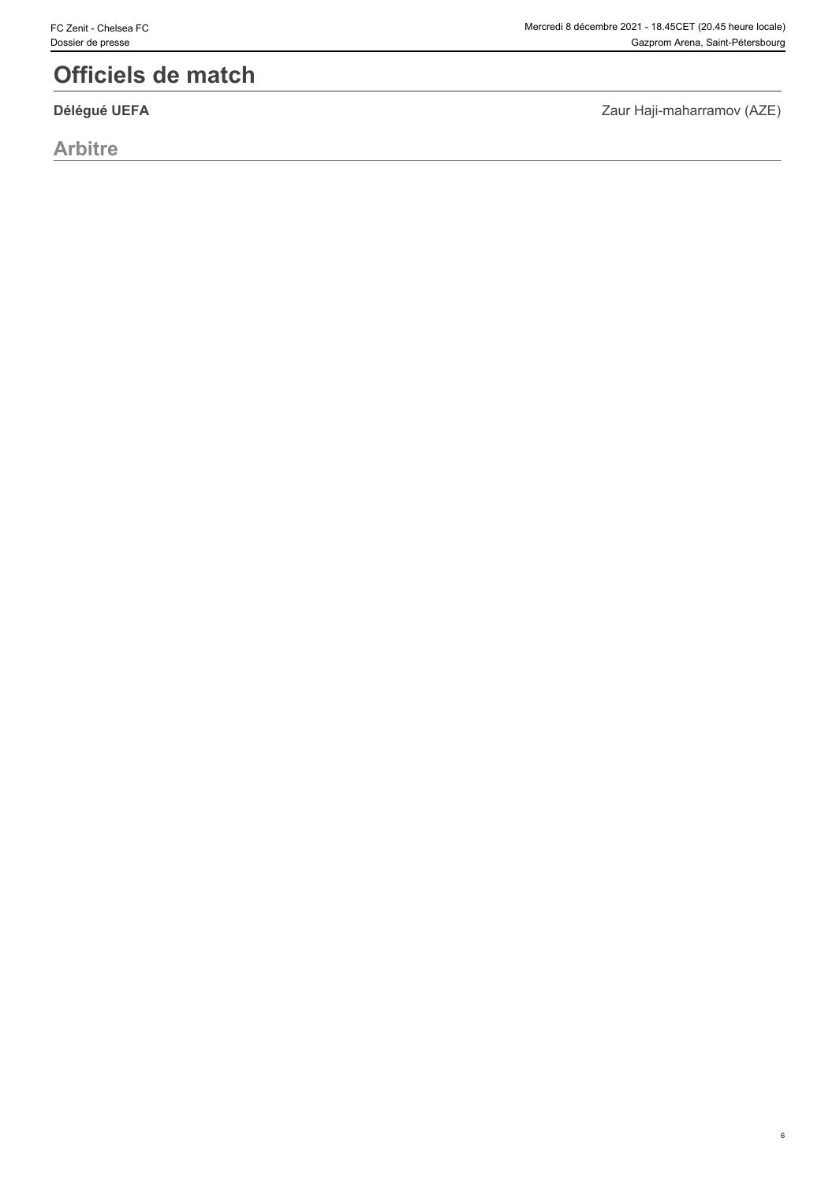# **Officiels de match**

**Arbitre**

Zaur Haji-maharramov (AZE) **Délégué UEFA**

6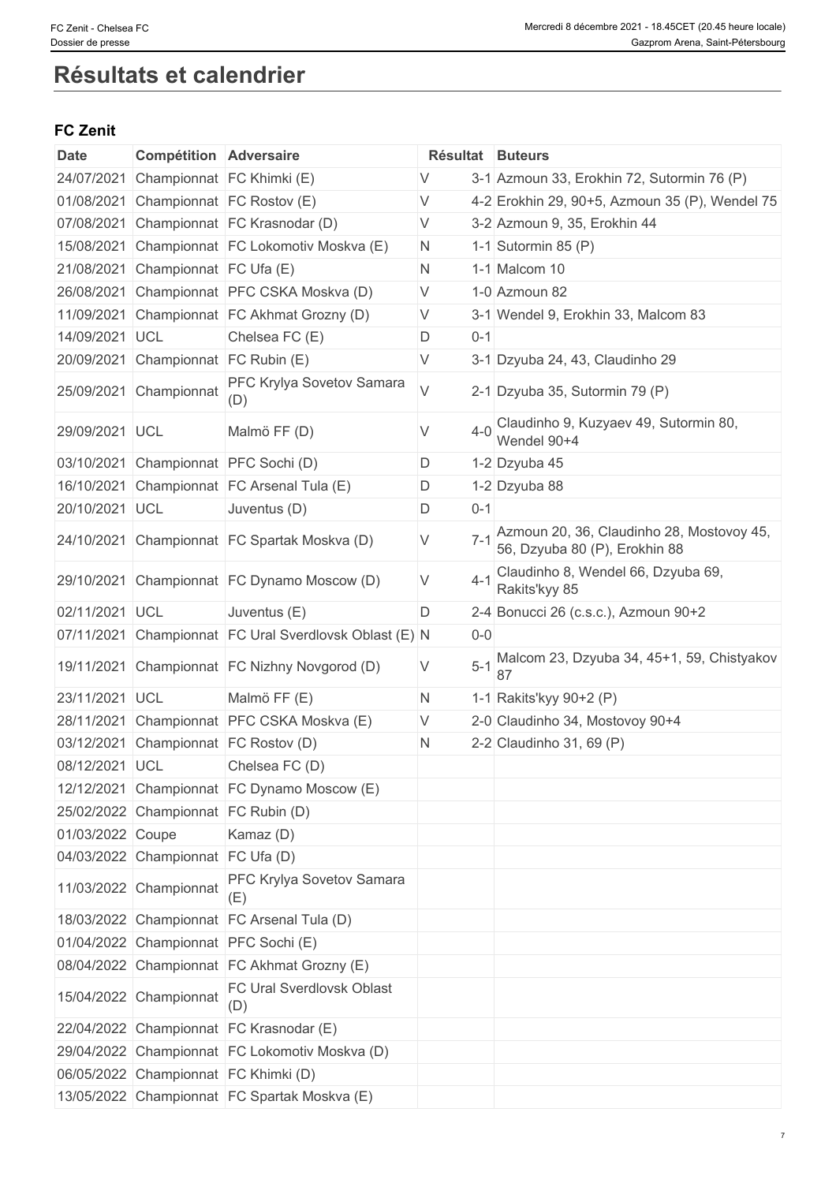# **Résultats et calendrier**

### **FC Zenit**

| <b>Date</b>      | <b>Compétition Adversaire</b>       |                                                |        |             | Résultat Buteurs                                                           |
|------------------|-------------------------------------|------------------------------------------------|--------|-------------|----------------------------------------------------------------------------|
| 24/07/2021       |                                     | Championnat FC Khimki (E)                      | V      |             | 3-1 Azmoun 33, Erokhin 72, Sutormin 76 (P)                                 |
| 01/08/2021       |                                     | Championnat FC Rostov (E)                      | V      |             | 4-2 Erokhin 29, 90+5, Azmoun 35 (P), Wendel 75                             |
| 07/08/2021       |                                     | Championnat FC Krasnodar (D)                   | V      |             | 3-2 Azmoun 9, 35, Erokhin 44                                               |
| 15/08/2021       |                                     | Championnat FC Lokomotiv Moskva (E)            | N.     |             | 1-1 Sutormin 85 $(P)$                                                      |
| 21/08/2021       | Championnat FC Ufa (E)              |                                                | N      |             | 1-1 Malcom 10                                                              |
| 26/08/2021       |                                     | Championnat PFC CSKA Moskva (D)                | V      |             | 1-0 Azmoun 82                                                              |
| 11/09/2021       |                                     | Championnat FC Akhmat Grozny (D)               | IV.    |             | 3-1 Wendel 9, Erokhin 33, Malcom 83                                        |
| 14/09/2021 UCL   |                                     | Chelsea FC (E)                                 | D      | $0 - 1$     |                                                                            |
| 20/09/2021       | Championnat FC Rubin (E)            |                                                | $\vee$ |             | 3-1 Dzyuba 24, 43, Claudinho 29                                            |
| 25/09/2021       | Championnat                         | PFC Krylya Sovetov Samara<br>(D)               | $\vee$ |             | 2-1 Dzyuba 35, Sutormin 79 (P)                                             |
| 29/09/2021 UCL   |                                     | Malmö FF (D)                                   | V      | $4 - 0$     | Claudinho 9, Kuzyaev 49, Sutormin 80,<br>Wendel 90+4                       |
| 03/10/2021       |                                     | Championnat PFC Sochi (D)                      | D      |             | 1-2 Dzyuba 45                                                              |
| 16/10/2021       |                                     | Championnat FC Arsenal Tula (E)                | D      |             | 1-2 Dzyuba 88                                                              |
| 20/10/2021       | <b>UCL</b>                          | Juventus (D)                                   | D      | $0 - 1$     |                                                                            |
| 24/10/2021       |                                     | Championnat FC Spartak Moskva (D)              | V      | $7 - 1$     | Azmoun 20, 36, Claudinho 28, Mostovoy 45,<br>56, Dzyuba 80 (P), Erokhin 88 |
| 29/10/2021       |                                     | Championnat FC Dynamo Moscow (D)               | V      | $4 - 1$     | Claudinho 8, Wendel 66, Dzyuba 69,<br>Rakits'kyy 85                        |
| 02/11/2021 UCL   |                                     | Juventus (E)                                   | D      |             | 2-4 Bonucci 26 (c.s.c.), Azmoun 90+2                                       |
| 07/11/2021       |                                     | Championnat FC Ural Sverdlovsk Oblast (E) N    |        | $0 - 0$     |                                                                            |
| 19/11/2021       |                                     | Championnat FC Nizhny Novgorod (D)             | V      | $5-1$<br>87 | Malcom 23, Dzyuba 34, 45+1, 59, Chistyakov                                 |
| 23/11/2021 UCL   |                                     | Malmö FF (E)                                   | N      |             | 1-1 Rakits'kyy 90+2 (P)                                                    |
| 28/11/2021       |                                     | Championnat PFC CSKA Moskva (E)                | V      |             | 2-0 Claudinho 34, Mostovoy 90+4                                            |
| 03/12/2021       |                                     | Championnat FC Rostov (D)                      | N      |             | 2-2 Claudinho 31, 69 (P)                                                   |
| 08/12/2021 UCL   |                                     | Chelsea FC (D)                                 |        |             |                                                                            |
|                  |                                     | 12/12/2021 Championnat FC Dynamo Moscow (E)    |        |             |                                                                            |
|                  | 25/02/2022 Championnat FC Rubin (D) |                                                |        |             |                                                                            |
| 01/03/2022 Coupe |                                     | Kamaz (D)                                      |        |             |                                                                            |
|                  | 04/03/2022 Championnat FC Ufa (D)   |                                                |        |             |                                                                            |
|                  | 11/03/2022 Championnat              | PFC Krylya Sovetov Samara<br>(E)               |        |             |                                                                            |
|                  |                                     | 18/03/2022 Championnat FC Arsenal Tula (D)     |        |             |                                                                            |
|                  |                                     | 01/04/2022 Championnat PFC Sochi (E)           |        |             |                                                                            |
|                  |                                     | 08/04/2022 Championnat FC Akhmat Grozny (E)    |        |             |                                                                            |
|                  | 15/04/2022 Championnat              | <b>FC Ural Sverdlovsk Oblast</b><br>(D)        |        |             |                                                                            |
|                  |                                     | 22/04/2022 Championnat FC Krasnodar (E)        |        |             |                                                                            |
|                  |                                     | 29/04/2022 Championnat FC Lokomotiv Moskva (D) |        |             |                                                                            |
|                  |                                     | 06/05/2022 Championnat FC Khimki (D)           |        |             |                                                                            |
|                  |                                     | 13/05/2022 Championnat FC Spartak Moskva (E)   |        |             |                                                                            |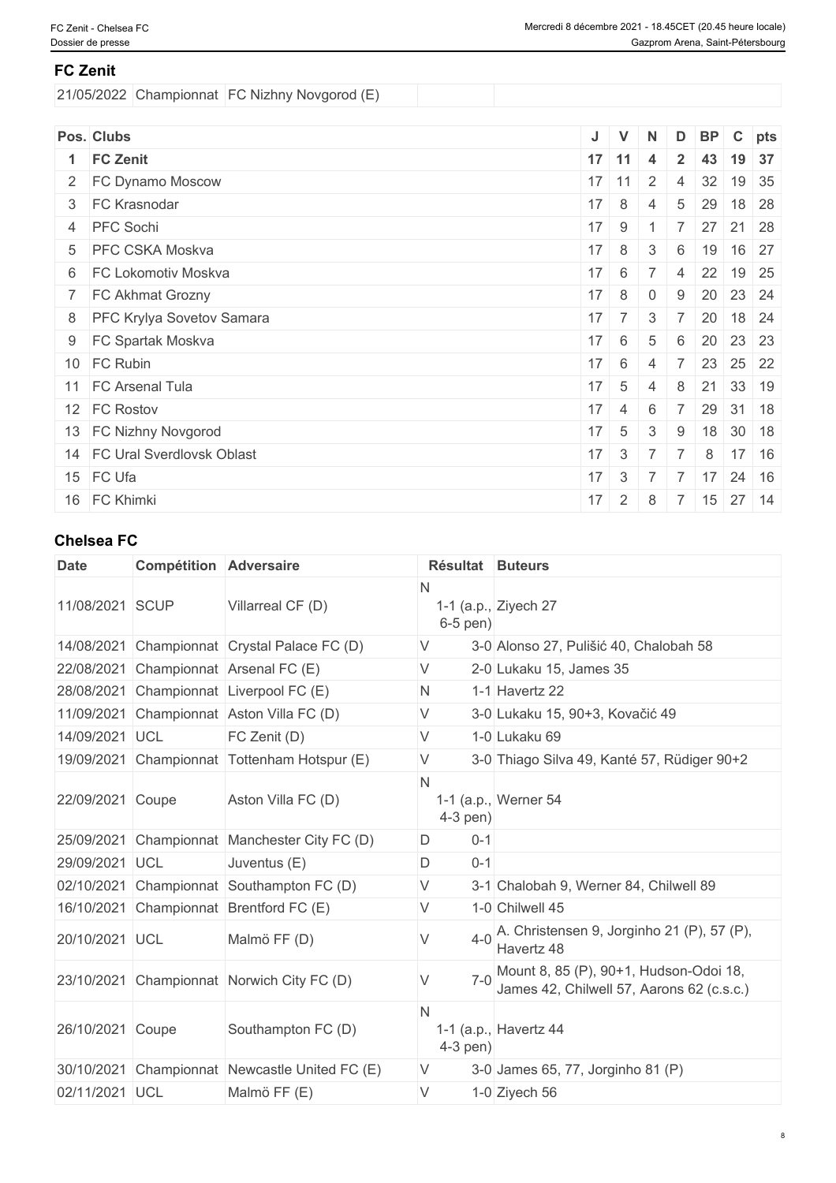### **FC Zenit**

21/05/2022 Championnat FC Nizhny Novgorod (E)

| Pos. Clubs                   | J  | $\mathsf{V}$    | N              |                | D BP C pts |               |              |
|------------------------------|----|-----------------|----------------|----------------|------------|---------------|--------------|
| 1 FC Zenit                   |    | $17$ 11         | $\overline{4}$ | $\mathbf{2}$   | 43         | 19 37         |              |
| 2 FC Dynamo Moscow           |    | $17$ 11         | $\overline{2}$ | $\overline{4}$ | 32         |               | 19 35        |
| 3 FC Krasnodar               | 17 | 8               | $\overline{4}$ | 5              | 29         | 18 28         |              |
| 4 PFC Sochi                  | 17 | 9               |                | $\overline{7}$ | 27 21 28   |               |              |
| 5 PFC CSKA Moskva            | 17 | 8               | 3              | 6              | 19         | 16 27         |              |
| 6 FC Lokomotiv Moskva        | 17 | 6               |                | $\overline{4}$ | 22         | $19 \mid 25$  |              |
| 7 FC Akhmat Grozny           | 17 | 8               | $\overline{0}$ | 9              | 20 23 24   |               |              |
| 8 PFC Krylya Sovetov Samara  | 17 | 7 <sup>1</sup>  | $\mathcal{S}$  | $\overline{7}$ | 20         |               | $18 \mid 24$ |
| 9 FC Spartak Moskva          | 17 | 6               | 5              | 6              | 20         | 23 23         |              |
| 10 FC Rubin                  | 17 | 6               | 4              |                | 23         | 25 22         |              |
| 11 FC Arsenal Tula           | 17 | $5\overline{)}$ | 4              | 8              | 21         | 33 19         |              |
| 12 FC Rostov                 | 17 | $\overline{4}$  | 6              |                | 29         | $31 \quad 18$ |              |
| 13 FC Nizhny Novgorod        | 17 | $5\overline{)}$ | 3              | 9              |            | 18 30 18      |              |
| 14 FC Ural Sverdlovsk Oblast | 17 | $\mathcal{S}$   |                |                | 8          |               | $17 \mid 16$ |
| 15 FC Ufa                    | 17 | 3               |                | $\overline{7}$ | 17         |               | $24 \mid 16$ |
| 16 FC Khimki                 | 17 | $\overline{2}$  | 8              | $\overline{7}$ | 15         | 27 14         |              |

# **Chelsea FC**

| <b>Date</b>      | <b>Compétition Adversaire</b> |                                              | Résultat Buteurs |                                                                                     |
|------------------|-------------------------------|----------------------------------------------|------------------|-------------------------------------------------------------------------------------|
| 11/08/2021 SCUP  |                               | Villarreal CF (D)                            | N<br>$6-5$ pen)  | 1-1 (a.p., Ziyech $27$                                                              |
| 14/08/2021       |                               | Championnat Crystal Palace FC (D)            | V                | 3-0 Alonso 27, Pulišić 40, Chalobah 58                                              |
| 22/08/2021       |                               | Championnat Arsenal FC (E)                   | V                | 2-0 Lukaku 15, James 35                                                             |
| 28/08/2021       |                               | Championnat Liverpool FC (E)                 | N.               | 1-1 Havertz 22                                                                      |
| 11/09/2021       |                               | Championnat Aston Villa FC (D)               | V                | 3-0 Lukaku 15, 90+3, Kovačić 49                                                     |
| 14/09/2021 UCL   |                               | FC Zenit (D)                                 | V                | 1-0 Lukaku 69                                                                       |
|                  |                               | 19/09/2021 Championnat Tottenham Hotspur (E) | V                | 3-0 Thiago Silva 49, Kanté 57, Rüdiger 90+2                                         |
| 22/09/2021 Coupe |                               | Aston Villa FC (D)                           | N<br>$4-3$ pen)  | 1-1 (a.p., Werner 54                                                                |
| 25/09/2021       |                               | Championnat Manchester City FC (D)           | D<br>$0 - 1$     |                                                                                     |
| 29/09/2021 UCL   |                               | Juventus (E)                                 | D<br>$0 - 1$     |                                                                                     |
|                  |                               | 02/10/2021 Championnat Southampton FC (D)    | V                | 3-1 Chalobah 9, Werner 84, Chilwell 89                                              |
|                  |                               | 16/10/2021 Championnat Brentford FC (E)      | V                | 1-0 Chilwell 45                                                                     |
| 20/10/2021 UCL   |                               | Malmö FF (D)                                 | $4 - 0$          | A. Christensen 9, Jorginho 21 (P), 57 (P),<br>Havertz 48                            |
|                  |                               | 23/10/2021 Championnat Norwich City FC (D)   | $7 - 0$          | Mount 8, 85 (P), 90+1, Hudson-Odoi 18,<br>James 42, Chilwell 57, Aarons 62 (c.s.c.) |
| 26/10/2021 Coupe |                               | Southampton FC (D)                           | N<br>$4-3$ pen)  | 1-1 (a.p., Havertz 44                                                               |
| 30/10/2021       |                               | Championnat Newcastle United FC (E)          | V                | 3-0 James 65, 77, Jorginho 81 (P)                                                   |
| 02/11/2021 UCL   |                               | Malmö FF (E)                                 | V                | 1-0 Ziyech 56                                                                       |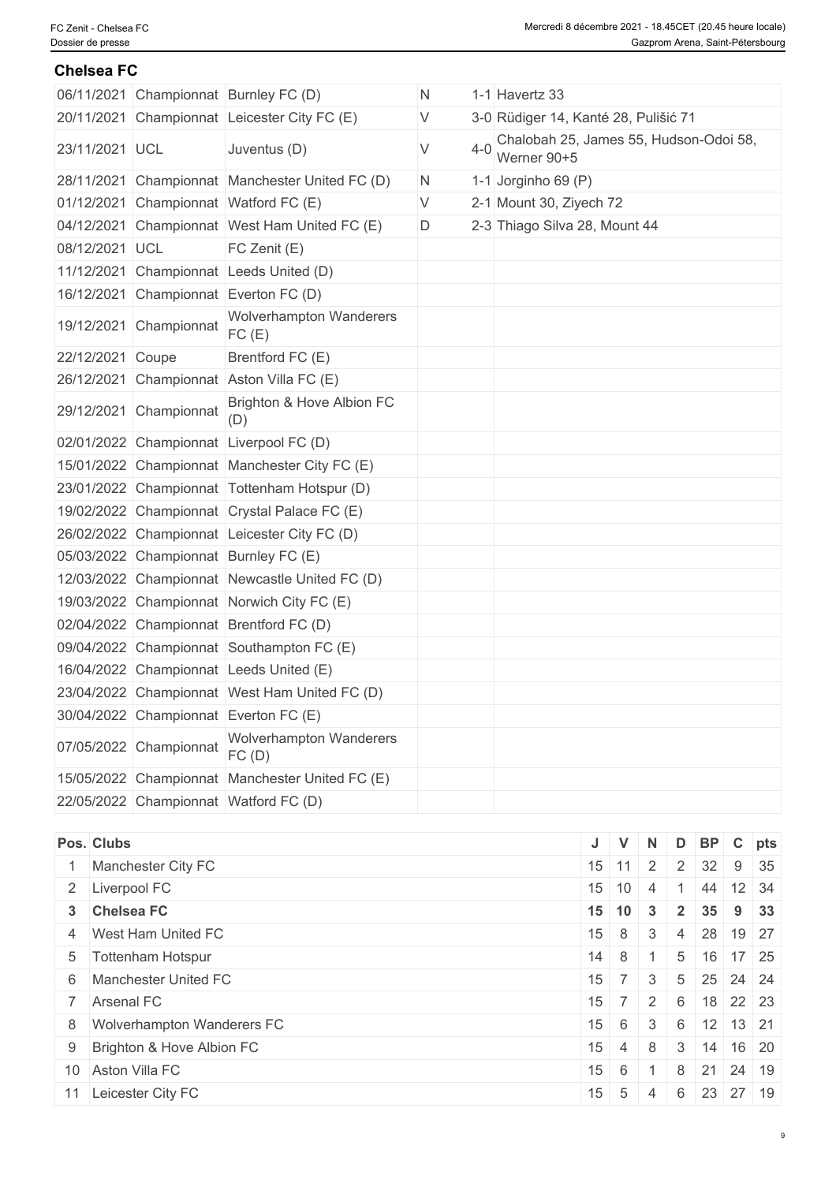#### **Chelsea FC**

|                  |                        | 06/11/2021 Championnat Burnley FC (D)           | N. |              | 1-1 Havertz 33                                        |
|------------------|------------------------|-------------------------------------------------|----|--------------|-------------------------------------------------------|
|                  |                        | 20/11/2021 Championnat Leicester City FC (E)    | V  |              | 3-0 Rüdiger 14, Kanté 28, Pulišić 71                  |
| 23/11/2021 UCL   |                        | Juventus (D)                                    | V  | $4 - \Omega$ | Chalobah 25, James 55, Hudson-Odoi 58,<br>Werner 90+5 |
|                  |                        | 28/11/2021 Championnat Manchester United FC (D) | N. |              | 1-1 Jorginho 69 (P)                                   |
|                  |                        | 01/12/2021 Championnat Watford FC (E)           | V  |              | 2-1 Mount 30, Ziyech 72                               |
|                  |                        | 04/12/2021 Championnat West Ham United FC (E)   | D  |              | 2-3 Thiago Silva 28, Mount 44                         |
| 08/12/2021 UCL   |                        | FC Zenit (E)                                    |    |              |                                                       |
|                  |                        | 11/12/2021 Championnat Leeds United (D)         |    |              |                                                       |
|                  |                        | 16/12/2021 Championnat Everton FC (D)           |    |              |                                                       |
|                  | 19/12/2021 Championnat | <b>Wolverhampton Wanderers</b><br>FC(E)         |    |              |                                                       |
| 22/12/2021 Coupe |                        | Brentford FC (E)                                |    |              |                                                       |
|                  |                        | 26/12/2021 Championnat Aston Villa FC (E)       |    |              |                                                       |
|                  | 29/12/2021 Championnat | Brighton & Hove Albion FC<br>(D)                |    |              |                                                       |
|                  |                        | 02/01/2022 Championnat Liverpool FC (D)         |    |              |                                                       |
|                  |                        | 15/01/2022 Championnat Manchester City FC (E)   |    |              |                                                       |
|                  |                        | 23/01/2022 Championnat Tottenham Hotspur (D)    |    |              |                                                       |
|                  |                        | 19/02/2022 Championnat Crystal Palace FC (E)    |    |              |                                                       |
|                  |                        | 26/02/2022 Championnat Leicester City FC (D)    |    |              |                                                       |
|                  |                        | 05/03/2022 Championnat Burnley FC (E)           |    |              |                                                       |
|                  |                        | 12/03/2022 Championnat Newcastle United FC (D)  |    |              |                                                       |
|                  |                        | 19/03/2022 Championnat Norwich City FC (E)      |    |              |                                                       |
|                  |                        | 02/04/2022 Championnat Brentford FC (D)         |    |              |                                                       |
|                  |                        | 09/04/2022 Championnat Southampton FC (E)       |    |              |                                                       |
|                  |                        | 16/04/2022 Championnat Leeds United (E)         |    |              |                                                       |
|                  |                        | 23/04/2022 Championnat West Ham United FC (D)   |    |              |                                                       |
|                  |                        | 30/04/2022 Championnat Everton FC (E)           |    |              |                                                       |
|                  | 07/05/2022 Championnat | <b>Wolverhampton Wanderers</b><br>FC(D)         |    |              |                                                       |
|                  |                        | 15/05/2022 Championnat Manchester United FC (E) |    |              |                                                       |
|                  |                        | 22/05/2022 Championnat Watford FC (D)           |    |              |                                                       |

| Pos. Clubs                   |                         | $\mathsf{V}$     | <b>N</b>       |                | D BP C pts                  |             |  |
|------------------------------|-------------------------|------------------|----------------|----------------|-----------------------------|-------------|--|
| Manchester City FC           |                         |                  |                |                | $15$ 11 2 2 32 9 35         |             |  |
| 2 Liverpool FC               | $15$ 10                 |                  | $\overline{4}$ |                | 44 12 34                    |             |  |
| 3 Chelsea FC                 | $15 \mid 10 \mid$       |                  | $\mathbf{3}$   | $\overline{2}$ | 35                          | $9 \mid 33$ |  |
| 4 West Ham United FC         | $15 \mid 8 \mid$        |                  | $\mathbf{3}$   | $\overline{4}$ | 28 19 27                    |             |  |
| 5 Tottenham Hotspur          |                         | $14 \quad 8$     |                |                | $5 \mid 16 \mid 17 \mid 25$ |             |  |
| 6 Manchester United FC       | $15 \mid 7 \mid 3 \mid$ |                  |                |                | 5 25 24 24                  |             |  |
| 7 Arsenal FC                 | 15 <sup>1</sup>         |                  | 72             | 6              | $18$ 22 23                  |             |  |
| 8 Wolverhampton Wanderers FC | $15 \quad 6$            |                  | 3 <sup>1</sup> | 6              | $12$ 13 21                  |             |  |
| 9 Brighton & Hove Albion FC  |                         | $15 \mid 4 \mid$ | 8              | 3              | $14$ 16 20                  |             |  |
| 10 Aston Villa FC            | $15 \mid 6$             |                  | $\overline{1}$ | 8 <sup>1</sup> | 21                          | 24 19       |  |
| 11 Leicester City FC         | $15 \quad 5$            |                  | 4              | 6              | 23 27 19                    |             |  |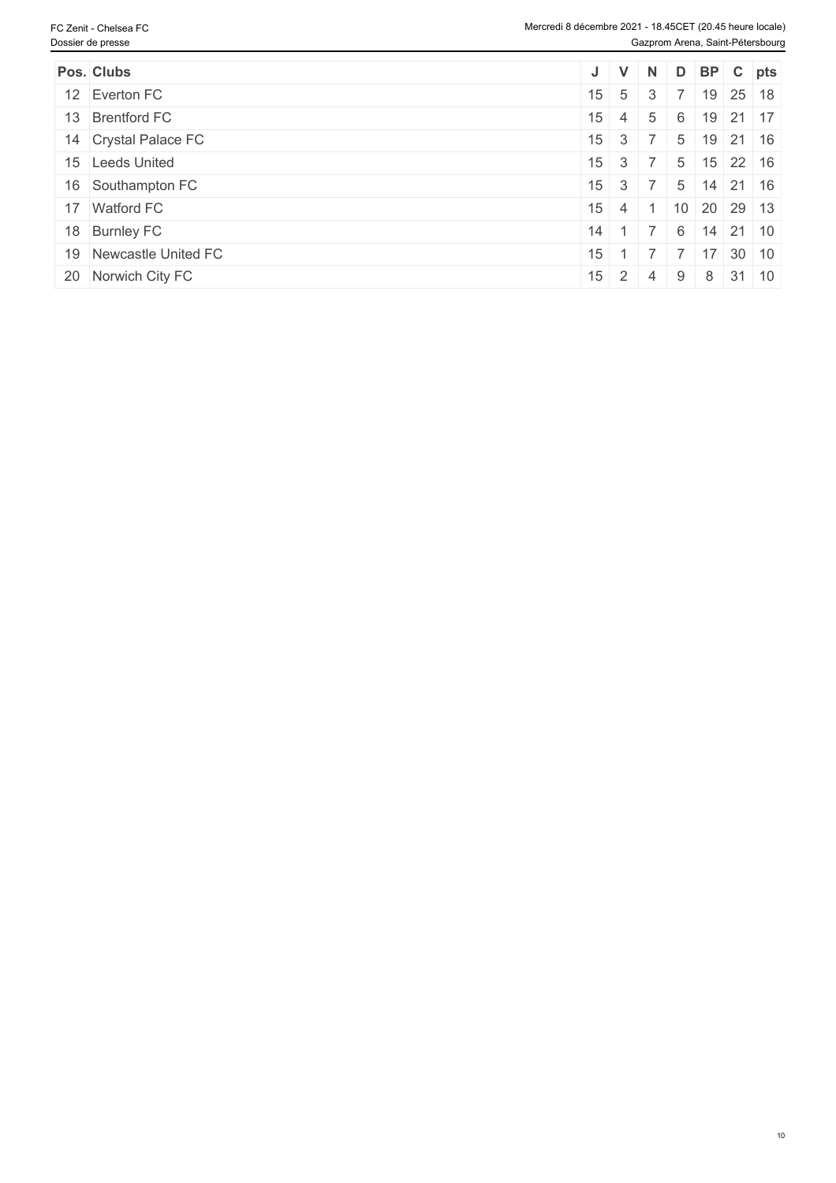| Pos. Clubs             | J                    | $\mathsf{V}$ | N   |   |                             | D BP C pts           |
|------------------------|----------------------|--------------|-----|---|-----------------------------|----------------------|
| 12 Everton FC          | $15 \quad 5$         |              | - 3 |   |                             | $19 \mid 25 \mid 18$ |
| 13 Brentford FC        | 15 <sup>1</sup>      | $\sim$ 4     | 5   | 6 |                             | $19$ 21 17           |
| 14 Crystal Palace FC   | $15 \mid 3 \mid 7$   |              |     |   | $5 \mid 19 \mid 21 \mid 16$ |                      |
| 15 Leeds United        | $15 \mid 3 \mid 7$   |              |     | 5 |                             | $15$ 22 16           |
| 16 Southampton FC      | $15 \mid 3 \mid 7$   |              |     | 5 |                             | 14 21 16             |
| 17 Watford FC          | 15 <sup>1</sup>      | 4 1          |     |   | 10 20 29 13                 |                      |
| 18 Burnley FC          | 14 <sup>1</sup>      |              |     | 6 | 14                          | $21 \mid 10$         |
| 19 Newcastle United FC | 15 <sup>1</sup>      |              |     |   | 17                          | $30 \mid 10$         |
| 20 Norwich City FC     | $15 \quad 2 \quad 4$ |              |     | 9 |                             | $8 \mid 31 \mid 10$  |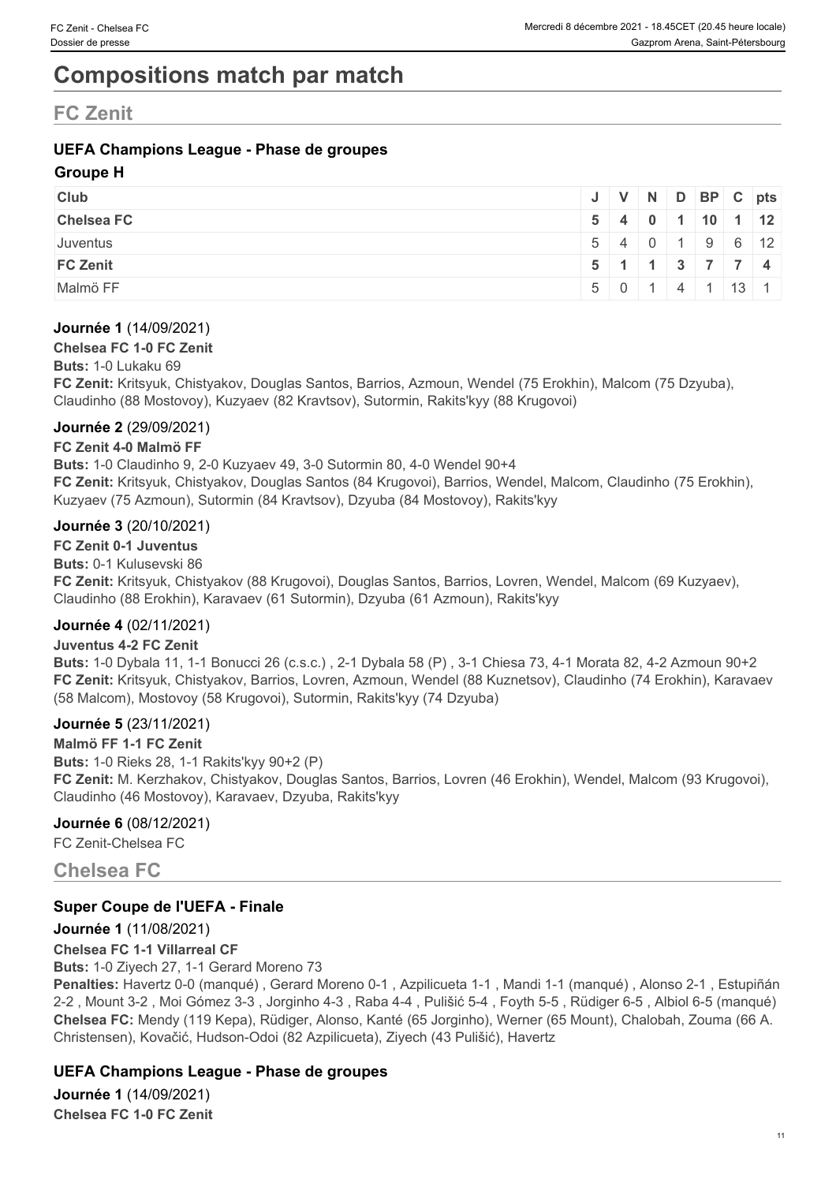# **Compositions match par match**

# **FC Zenit**

### **UEFA Champions League - Phase de groupes**

#### **Groupe H**

| <b>Club</b>       |       |                        |     | $J$ $V$ $N$ $D$ $BP$ $C$ $pts$                |                    |  |
|-------------------|-------|------------------------|-----|-----------------------------------------------|--------------------|--|
| <b>Chelsea FC</b> |       | $5 \mid 4 \mid 0 \mid$ |     | $10$ 1 12                                     |                    |  |
| Juventus          |       |                        |     | 5   4   0   1   9   6   12                    |                    |  |
| <b>FC Zenit</b>   |       |                        |     | $5 \mid 1 \mid 1 \mid 3 \mid 7 \mid 7 \mid 4$ |                    |  |
| Malmö FF          | 5 0 1 |                        | 141 |                                               | $\vert 13 \vert 1$ |  |

#### **Journée 1** (14/09/2021)

#### **Chelsea FC 1-0 FC Zenit**

#### **Buts:** 1-0 Lukaku 69

**FC Zenit:** Kritsyuk, Chistyakov, Douglas Santos, Barrios, Azmoun, Wendel (75 Erokhin), Malcom (75 Dzyuba), Claudinho (88 Mostovoy), Kuzyaev (82 Kravtsov), Sutormin, Rakits'kyy (88 Krugovoi)

#### **Journée 2** (29/09/2021)

#### **FC Zenit 4-0 Malmö FF**

**Buts:** 1-0 Claudinho 9, 2-0 Kuzyaev 49, 3-0 Sutormin 80, 4-0 Wendel 90+4 **FC Zenit:** Kritsyuk, Chistyakov, Douglas Santos (84 Krugovoi), Barrios, Wendel, Malcom, Claudinho (75 Erokhin), Kuzyaev (75 Azmoun), Sutormin (84 Kravtsov), Dzyuba (84 Mostovoy), Rakits'kyy

#### **Journée 3** (20/10/2021)

**FC Zenit 0-1 Juventus**

**Buts:** 0-1 Kulusevski 86

**FC Zenit:** Kritsyuk, Chistyakov (88 Krugovoi), Douglas Santos, Barrios, Lovren, Wendel, Malcom (69 Kuzyaev), Claudinho (88 Erokhin), Karavaev (61 Sutormin), Dzyuba (61 Azmoun), Rakits'kyy

#### **Journée 4** (02/11/2021)

#### **Juventus 4-2 FC Zenit**

**Buts:** 1-0 Dybala 11, 1-1 Bonucci 26 (c.s.c.) , 2-1 Dybala 58 (P) , 3-1 Chiesa 73, 4-1 Morata 82, 4-2 Azmoun 90+2 **FC Zenit:** Kritsyuk, Chistyakov, Barrios, Lovren, Azmoun, Wendel (88 Kuznetsov), Claudinho (74 Erokhin), Karavaev (58 Malcom), Mostovoy (58 Krugovoi), Sutormin, Rakits'kyy (74 Dzyuba)

#### **Journée 5** (23/11/2021)

#### **Malmö FF 1-1 FC Zenit**

**Buts:** 1-0 Rieks 28, 1-1 Rakits'kyy 90+2 (P) **FC Zenit:** M. Kerzhakov, Chistyakov, Douglas Santos, Barrios, Lovren (46 Erokhin), Wendel, Malcom (93 Krugovoi), Claudinho (46 Mostovoy), Karavaev, Dzyuba, Rakits'kyy

#### **Journée 6** (08/12/2021)

FC Zenit-Chelsea FC

### **Chelsea FC**

#### **Super Coupe de l'UEFA - Finale**

#### **Journée 1** (11/08/2021)

#### **Chelsea FC 1-1 Villarreal CF**

**Buts:** 1-0 Ziyech 27, 1-1 Gerard Moreno 73

**Penalties:** Havertz 0-0 (manqué) , Gerard Moreno 0-1 , Azpilicueta 1-1 , Mandi 1-1 (manqué) , Alonso 2-1 , Estupiñán 2-2 , Mount 3-2 , Moi Gómez 3-3 , Jorginho 4-3 , Raba 4-4 , Pulišić 5-4 , Foyth 5-5 , Rüdiger 6-5 , Albiol 6-5 (manqué) **Chelsea FC:** Mendy (119 Kepa), Rüdiger, Alonso, Kanté (65 Jorginho), Werner (65 Mount), Chalobah, Zouma (66 A. Christensen), Kovačić, Hudson-Odoi (82 Azpilicueta), Ziyech (43 Pulišić), Havertz

#### **UEFA Champions League - Phase de groupes**

**Journée 1** (14/09/2021) **Chelsea FC 1-0 FC Zenit**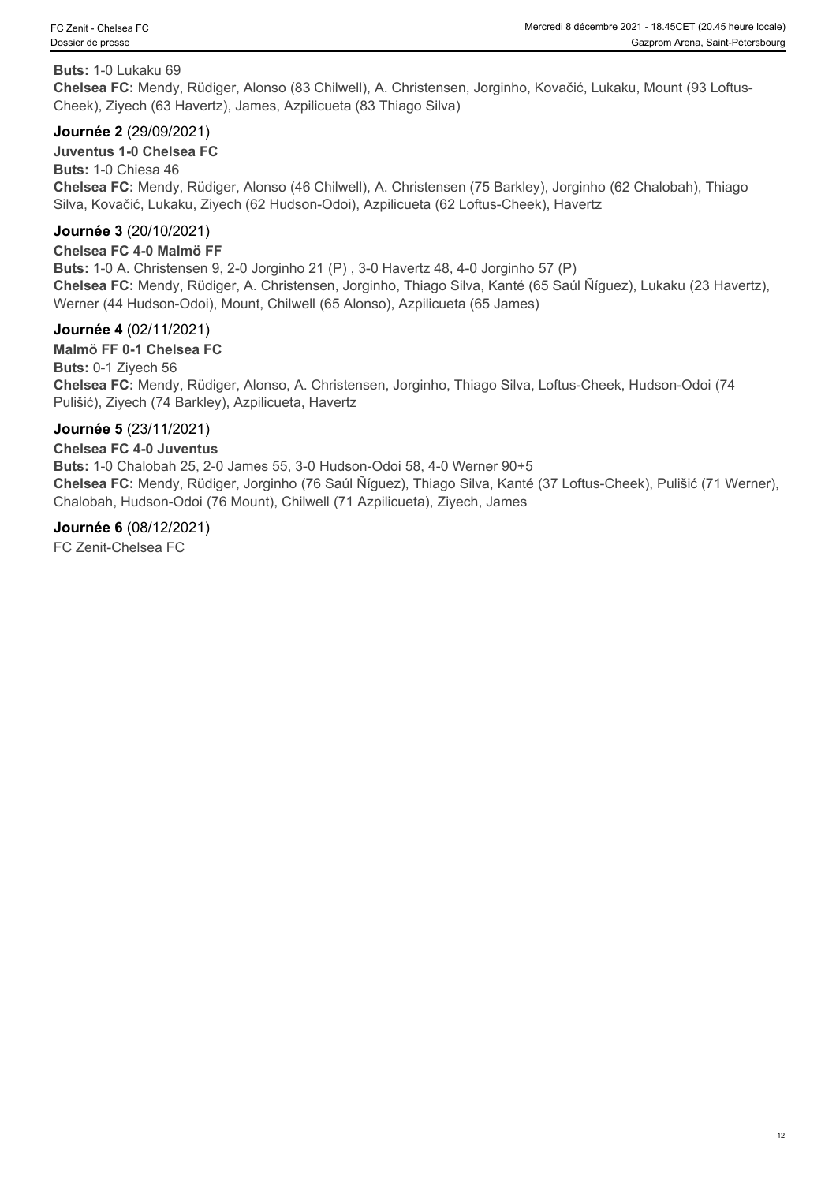#### **Buts:** 1-0 Lukaku 69

**Chelsea FC:** Mendy, Rüdiger, Alonso (83 Chilwell), A. Christensen, Jorginho, Kovačić, Lukaku, Mount (93 Loftus-Cheek), Ziyech (63 Havertz), James, Azpilicueta (83 Thiago Silva)

#### **Journée 2** (29/09/2021)

#### **Juventus 1-0 Chelsea FC**

**Buts:** 1-0 Chiesa 46 **Chelsea FC:** Mendy, Rüdiger, Alonso (46 Chilwell), A. Christensen (75 Barkley), Jorginho (62 Chalobah), Thiago Silva, Kovačić, Lukaku, Ziyech (62 Hudson-Odoi), Azpilicueta (62 Loftus-Cheek), Havertz

#### **Journée 3** (20/10/2021)

#### **Chelsea FC 4-0 Malmö FF**

**Buts:** 1-0 A. Christensen 9, 2-0 Jorginho 21 (P) , 3-0 Havertz 48, 4-0 Jorginho 57 (P) **Chelsea FC:** Mendy, Rüdiger, A. Christensen, Jorginho, Thiago Silva, Kanté (65 Saúl Ñíguez), Lukaku (23 Havertz), Werner (44 Hudson-Odoi), Mount, Chilwell (65 Alonso), Azpilicueta (65 James)

#### **Journée 4** (02/11/2021)

**Malmö FF 0-1 Chelsea FC Buts:** 0-1 Ziyech 56 **Chelsea FC:** Mendy, Rüdiger, Alonso, A. Christensen, Jorginho, Thiago Silva, Loftus-Cheek, Hudson-Odoi (74 Pulišić), Ziyech (74 Barkley), Azpilicueta, Havertz

#### **Journée 5** (23/11/2021)

#### **Chelsea FC 4-0 Juventus**

**Buts:** 1-0 Chalobah 25, 2-0 James 55, 3-0 Hudson-Odoi 58, 4-0 Werner 90+5 **Chelsea FC:** Mendy, Rüdiger, Jorginho (76 Saúl Ñíguez), Thiago Silva, Kanté (37 Loftus-Cheek), Pulišić (71 Werner), Chalobah, Hudson-Odoi (76 Mount), Chilwell (71 Azpilicueta), Ziyech, James

#### **Journée 6** (08/12/2021)

FC Zenit-Chelsea FC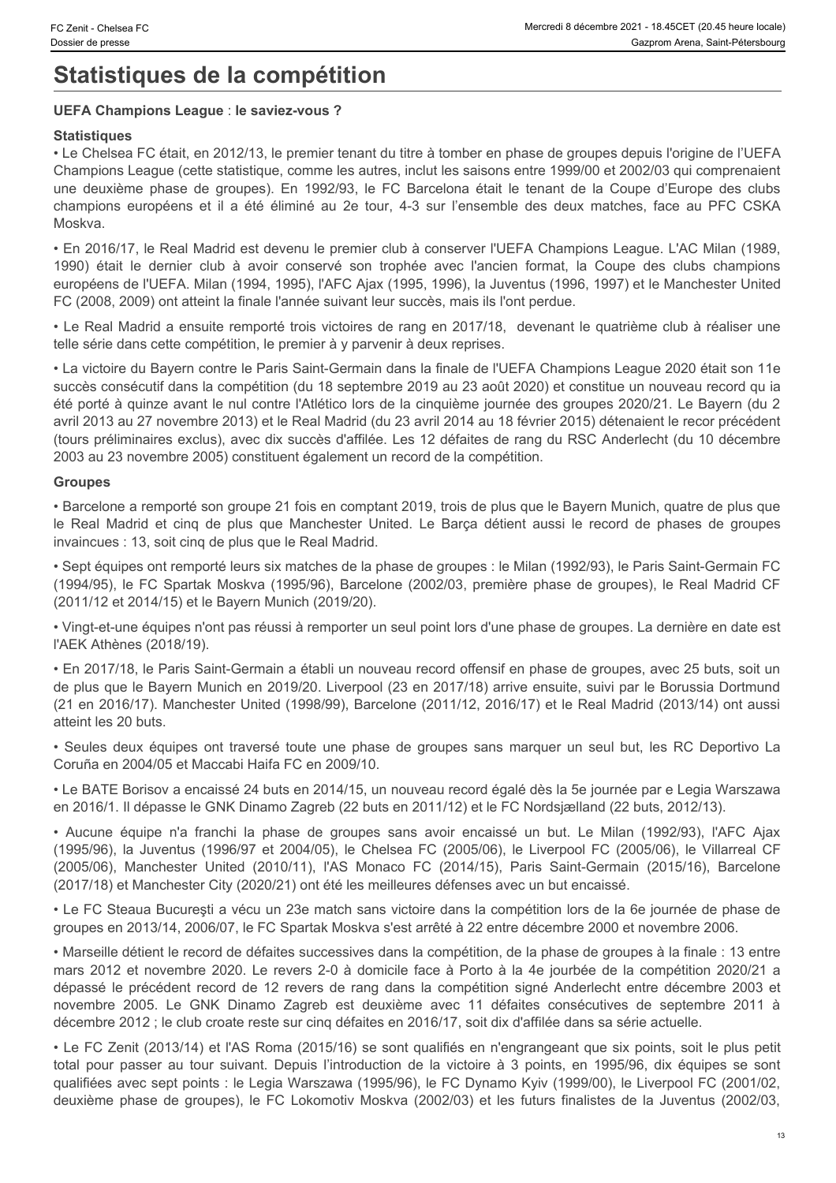# **Statistiques de la compétition**

#### **UEFA Champions League** : **le saviez-vous ?**

#### **Statistiques**

• Le Chelsea FC était, en 2012/13, le premier tenant du titre à tomber en phase de groupes depuis l'origine de l'UEFA Champions League (cette statistique, comme les autres, inclut les saisons entre 1999/00 et 2002/03 qui comprenaient Eczent Chelsea FC<br>
Sossier de presse<br>
Gazprom Arena) Sassier de presse<br>
Statistiques de la compétition<br>
ULEFA Champions League : le saviez-vous ?<br>
Statistiques de la Compétition<br>
Champions League (cette statistique, comme Champions Echanica FC **Champions League : le saviez-vous ?**<br>
Stattistiques **Champions League : le saviez-vous ?**<br>
Stattistiques **Champions League : le saviez-vous ?**<br>
Stattistiques : le Saviez-vous ?<br>
Stattistiques Celette Moskva. C Zant - Chelesa FC<br>
Shares de presser<br>
Statistiques de la compétition<br>
UEFA Champions League : le saviez-vous ?<br>
Statistiques<br>
L'EA Le Chelesa FC était, en 2012/13, le premier tenant du titre à tomber en phase de groupes

• En 2016/17, le Real Madrid est devenu le premier club à conserver l'UEFA Champions League. L'AC Milan (1989, européens de l'UEFA. Milan (1994, 1995), l'AFC Ajax (1995, 1996), la Juventus (1996, 1997) et le Manchester United FC (2008, 2009) ont atteint la finale l'année suivant leur succès, mais ils l'ont perdue.

• Le Real Madrid a ensuite remporté trois victoires de rang en 2017/18, devenant le quatrième club à réaliser une telle série dans cette compétition, le premier à y parvenir à deux reprises.

• La victoire du Bayern contre le Paris Saint-Germain dans la finale de l'UEFA Champions League 2020 était son 11e succès consécutif dans la compétition (du 18 septembre 2019 au 23 août 2020) et constitue un nouveau record qu ia été porté à quinze avant le nul contre l'Atlético lors de la cinquième journée des groupes 2020/21. Le Bayern (du 2 avril 2013 au 27 novembre 2013) et le Real Madrid (du 23 avril 2014 au 18 février 2015) détenaient le recor précédent (tours préliminaires exclus), avec dix succès d'affilée. Les 12 défaites de rang du RSC Anderlecht (du 10 décembre 2003 au 23 novembre 2005) constituent également un record de la compétition. le zen: Character (2008, 2008) and Real Manchester (2008) and Manchester United. Le Barcel of the plus que Manchester United. The Fig. of the American Character United. The Character United. The Character United States are **Statistiques de la compétition<br>
Statistiques de la compétition<br>
«Harakages ro dat, en 2012/11, le premie intendi di dike à lambé en phase de groupes depais forigine de l'UETA<br>
• Le Chesse FC dat, en 2012/11, le premie int** • Le Chesse TC elaid, en 2012/11, le premier de la phase de groupes sans avoir de groupes de groupes de groupes de groupes de groupes de groupes de groupes de groupes de groupes de groupes de groupes de groupes sans avoir Chelsea FC (1996), la Juventus (1996), la Juventus (1996), la Juventus (1996), la Juventus (1996), la Juventus (1997), la Juventus (1997), la Juventus (1997), la Juventus (1997), la Juventus (1997), la Juventus (1997), la united particles and propose of the state of the state is the couples and the state of the Coupe State of the State of the State of the State of the State of the State of the State of the State of the State of the State of et not the two methods in the state of the two spaces and a method in the state of the state of the state of the state of the state of the state of the state of the state of the state of the state of the state of the state re Le passé le précédent relation de ranger année suivant les précédes. Tes de le précéde de ranger de ranger de ranger de ranger de ranger de ranger de ranger de ranger de ranger de ranger de ranger de ranger de ranger de - Le Frail Madrita a mousie vertone trains in victiones de rang a 2017 f S. Cevenant le quantiene oub a realisie une<br>such septembre 2005. Le GNK Discoveriant de such septembre 2015 and 2017 and 2012. Cevenant le quantiene suices consellant ans is competition (its is september 2018 an 23 anchi 2002) et do milliones and the competition of the set of the set of the set of the set of the set of the set of the set of the set of the set of the se

#### **Groupes**

• Barcelone a remporté son groupe 21 fois en comptant 2019, trois de plus que le Bayern Munich, quatre de plus que invaincues : 13, soit cinq de plus que le Real Madrid.

• Sept équipes ont remporté leurs six matches de la phase de groupes : le Milan (1992/93), le Paris Saint-Germain FC (1994/95), le FC Spartak Moskva (1995/96), Barcelone (2002/03, première phase de groupes), le Real Madrid CF (2011/12 et 2014/15) et le Bayern Munich (2019/20).

• Vingt-et-une équipes n'ont pas réussi à remporter un seul point lors d'une phase de groupes. La dernière en date est l'AEK Athènes (2018/19).

• En 2017/18, le Paris Saint-Germain a établi un nouveau record offensif en phase de groupes, avec 25 buts, soit un de plus que le Bayern Munich en 2019/20. Liverpool (23 en 2017/18) arrive ensuite, suivi par le Borussia Dortmund (21 en 2016/17). Manchester United (1998/99), Barcelone (2011/12, 2016/17) et le Real Madrid (2013/14) ont aussi atteint les 20 buts.

Coruña en 2004/05 et Maccabi Haifa FC en 2009/10.

• Le BATE Borisov a encaissé 24 buts en 2014/15, un nouveau record égalé dès la 5e journée par e Legia Warszawa en 2016/1. Il dépasse le GNK Dinamo Zagreb (22 buts en 2011/12) et le FC Nordsjælland (22 buts, 2012/13).

(2017/18) et Manchester City (2020/21) ont été les meilleures défenses avec un but encaissé.

• Le FC Steaua Bucureşti a vécu un 23e match sans victoire dans la compétition lors de la 6e journée de phase de groupes en 2013/14, 2006/07, le FC Spartak Moskva s'est arrêté à 22 entre décembre 2000 et novembre 2006.

• Marseille détient le record de défaites successives dans la compétition, de la phase de groupes à la finale : 13 entre décembre 2012 ; le club croate reste sur cinq défaites en 2016/17, soit dix d'affilée dans sa série actuelle. awil 2013 at 27 novembre 2013 at 26 et les futurs finalistes de groupes and finite and the mass of the feature of the complete and the mass of the mass of the mass of the mass of the mass of the mass of the mass of the com

• Le FC Zenit (2013/14) et l'AS Roma (2015/16) se sont qualifiés en n'engrangeant que six points, soit le plus petit qualifiées avec sept points : le Legia Warszawa (1995/96), le FC Dynamo Kyiv (1999/00), le Liverpool FC (2001/02,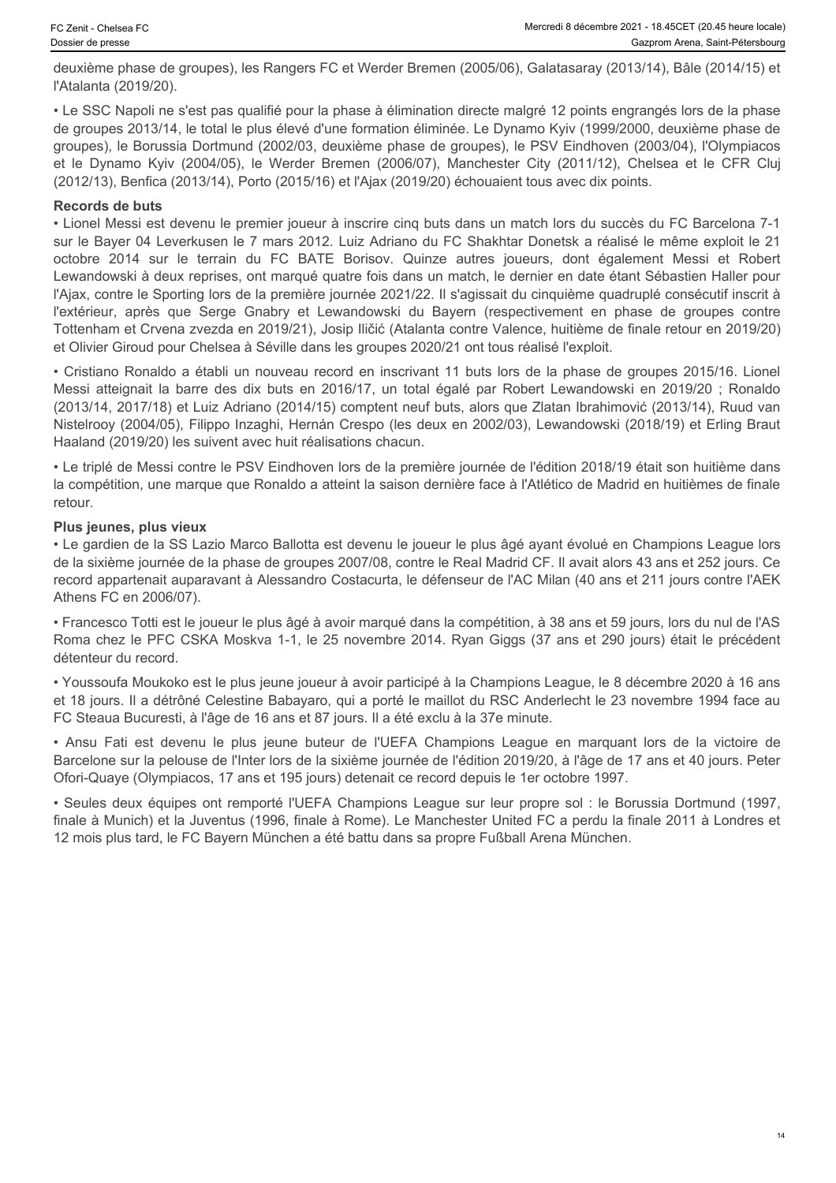deuxième phase de groupes), les Rangers FC et Werder Bremen (2005/06), Galatasaray (2013/14), Bâle (2014/15) et l'Atalanta (2019/20).

• Le SSC Napoli ne s'est pas qualifié pour la phase à élimination directe malgré 12 points engrangés lors de la phase de groupes 2013/14, le total le plus élevé d'une formation éliminée. Le Dynamo Kyiv (1999/2000, deuxième phase de groupes), le Borussia Dortmund (2002/03, deuxième phase de groupes), le PSV Eindhoven (2003/04), l'Olympiacos (2012/13), Benfica (2013/14), Porto (2015/16) et l'Ajax (2019/20) échouaient tous avec dix points.

#### **Records de buts**

et czenit - Choisea FC<br>
Mercredi 8 décembre 2021 - 18-85ET (20-45 heure locale)<br>
Osazprom Arena, Saint-Petersborg<br>
Catatomic metrics (2019/20).<br>
IPAtalantia (2019/20).<br>
Catatomic est pass qualifié pour la phase à éliminati • Lionel Messi est devenu le premier joueur à inscrire cinq buts dans un match lors du succès du FC Barcelona 7-1 sur le Bayer 04 Leverkusen le 7 mars 2012. Luiz Adriano du FC Shakhtar Donetsk a réalisé le même exploit le 21 Czent Chesse FC<br>
Variation galaxies of Germeine States (Security Consider States (Security Consider States (Security Consider<br>
2014 / TAtalanta (2019/20).<br>
TAtalanta (2019/20).<br>
TAtalanta (2019/20).<br>
TAtalanta (2019/20).<br> Lewandowski à deux reprises, ont marqué quatre fois dans un match, le dernier en date étant Sébastien Haller pour l'Ajax, contre le Sporting lors de la première journée 2021/22. Il s'agissait du cinquième quadruplé consécutif inscrit à Comes Chatera FC<br>
Meroval a decompens phase de groupes), les Rangers FC et Werder Bremen (2005/06), Galatasaray (2013/14), Bàle (2014/15) et<br>
(Rixialianta (2019/20).<br>
• Le SSC Napoli ne s'est pas qualifié pour la phase à é Tottenham et Crvena zvezda en 2019/21), Josip Iličić (Atalanta contre Valence, huitième de finale retour en 2019/20) et Olivier Giroud pour Chelsea à Séville dans les groupes 2020/21 ont tous réalisé l'exploit. Czaws - creass FC<br>
Messi at the sack Messi atteignation of the Sampletian Cause of the Sampletian creass of the sampleting phase degroupes), les Rangers FC et Werder Bremen (2005/06), Galatasaray (2016/14), Bei (2016/14) i douchine plus de la statistica in est de l'est de l'est de l'est de l'est de l'est de l'est de l'est de l'est de l'est de l'est de l'est de l'est de l'est de l'est de l'est de l'est de l'est de l'est de l'est de l'est de

• Cristiano Ronaldo a établi un nouveau record en inscrivant 11 buts lors de la phase de groupes 2015/16. Lionel (2013/14, 2017/18) et Luiz Adriano (2014/15) comptent neuf buts, alors que Zlatan Ibrahimović (2013/14), Ruud van Nistelrooy (2004/05), Filippo Inzaghi, Hernán Crespo (les deux en 2002/03), Lewandowski (2018/19) et Erling Braut Haaland (2019/20) les suivent avec huit réalisations chacun.

• Le triplé de Messi contre le PSV Eindhoven lors de la première journée de l'édition 2018/19 était son huitième dans la compétition, une marque que Ronaldo a atteint la saison dernière face à l'Atlético de Madrid en huitièmes de finale retour.

#### **Plus jeunes, plus vieux**

• Le gardien de la SS Lazio Marco Ballotta est devenu le joueur le plus âgé ayant évolué en Champions League lors de la sixième journée de la phase de groupes 2007/08, contre le Real Madrid CF. Il avait alors 43 ans et 252 jours. Ce record appartenait auparavant à Alessandro Costacurta, le défenseur de l'AC Milan (40 ans et 211 jours contre l'AEK Athens FC en 2006/07).

• Francesco Totti est le joueur le plus âgé à avoir marqué dans la compétition, à 38 ans et 59 jours, lors du nul de l'AS Roma chez le PFC CSKA Moskva 1-1, le 25 novembre 2014. Ryan Giggs (37 ans et 290 jours) était le précédent détenteur du record.

• Youssoufa Moukoko est le plus jeune joueur à avoir participé à la Champions League, le 8 décembre 2020 à 16 ans et 18 jours. Il a détrôné Celestine Babayaro, qui a porté le maillot du RSC Anderlecht le 23 novembre 1994 face au FC Steaua Bucuresti, à l'âge de 16 ans et 87 jours. Il a été exclu à la 37e minute.

Barcelone sur la pelouse de l'Inter lors de la sixième journée de l'édition 2019/20, à l'âge de 17 ans et 40 jours. Peter Ofori-Quaye (Olympiacos, 17 ans et 195 jours) detenait ce record depuis le 1er octobre 1997.

• Seules deux équipes ont remporté l'UEFA Champions League sur leur propre sol : le Borussia Dortmund (1997, finale à Munich) et la Juventus (1996, finale à Rome). Le Manchester United FC a perdu la finale 2011 à Londres et 12 mois plus tard, le FC Bayern München a été battu dans sa propre Fußball Arena München.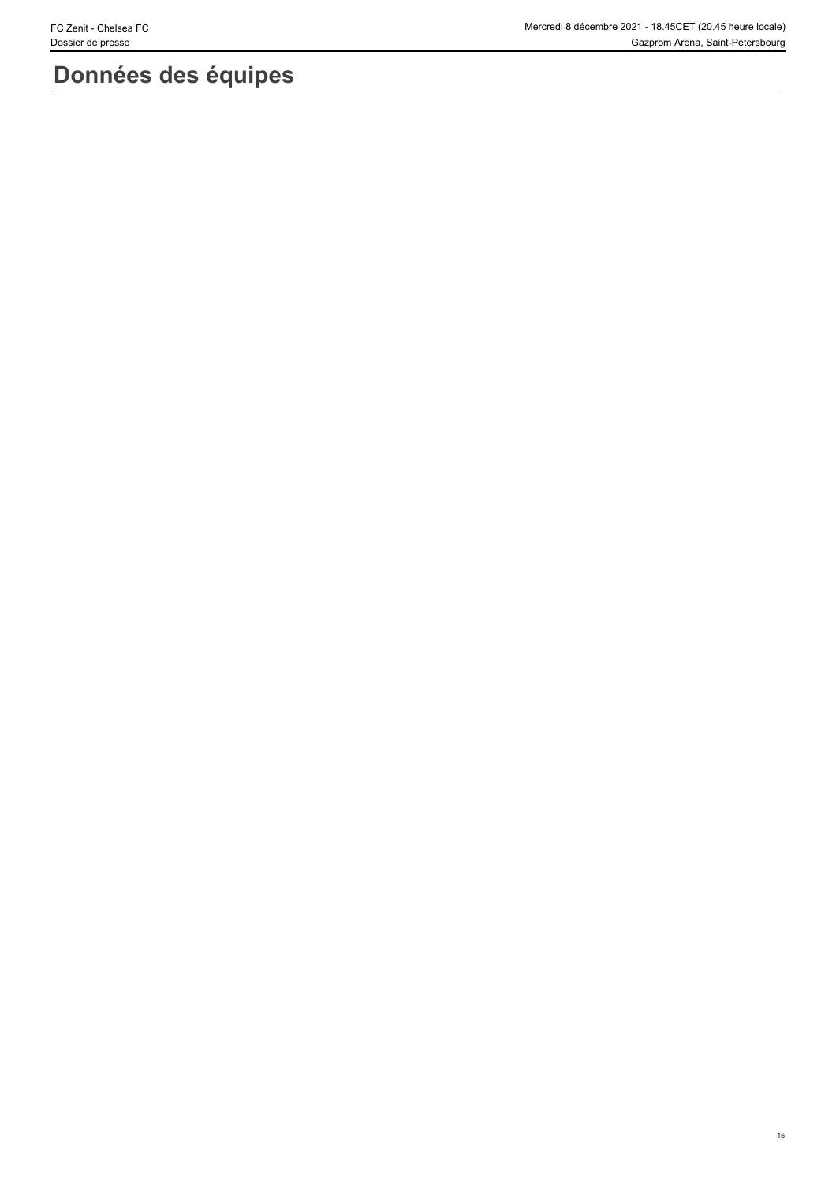# **Données des équipes**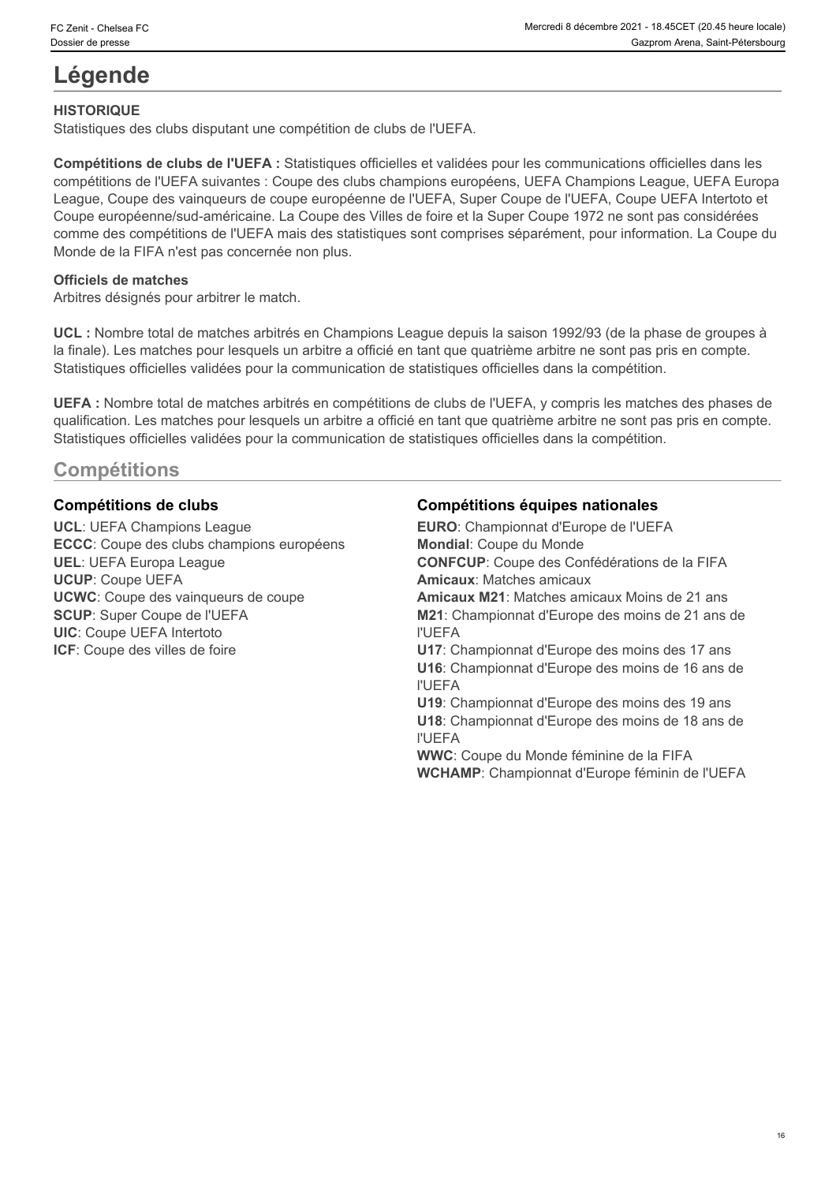# **Légende**

#### **HISTORIQUE**

Statistiques des clubs disputant une compétition de clubs de l'UEFA.

**Compétitions de clubs de l'UEFA :** Statistiques officielles et validées pour les communications officielles dans les compétitions de l'UEFA suivantes : Coupe des clubs champions européens, UEFA Champions League, UEFA Europa League, Coupe des vainqueurs de coupe européenne de l'UEFA, Super Coupe de l'UEFA, Coupe UEFA Intertoto et Coupe européenne/sud-américaine. La Coupe des Villes de foire et la Super Coupe 1972 ne sont pas considérées comme des compétitions de l'UEFA mais des statistiques sont comprises séparément, pour information. La Coupe du Monde de la FIFA n'est pas concernée non plus.

#### **Officiels de matches**

Arbitres désignés pour arbitrer le match.

**UCL :** Nombre total de matches arbitrés en Champions League depuis la saison 1992/93 (de la phase de groupes à la finale). Les matches pour lesquels un arbitre a officié en tant que quatrième arbitre ne sont pas pris en compte. Statistiques officielles validées pour la communication de statistiques officielles dans la compétition.

**UEFA :** Nombre total de matches arbitrés en compétitions de clubs de l'UEFA, y compris les matches des phases de qualification. Les matches pour lesquels un arbitre a officié en tant que quatrième arbitre ne sont pas pris en compte. Statistiques officielles validées pour la communication de statistiques officielles dans la compétition.

# **Compétitions**

**ECCC**: Coupe des clubs champions européens **UIC**: Coupe UEFA Intertoto

#### **Compétitions de clubs Compétitions équipes nationales**

**UCL**: UEFA Champions League **EURO**: Championnat d'Europe de l'UEFA **UEL**: UEFA Europa League **CONFCUP**: Coupe des Confédérations de la FIFA **UCUP**: Coupe UEFA **Amicaux**: Matches amicaux **UCWC**: Coupe des vainqueurs de coupe **Amicaux M21**: Matches amicaux Moins de 21 ans **SCUP**: Super Coupe de l'UEFA **M21**: Championnat d'Europe des moins de 21 ans de **ICF**: Coupe des villes de foire **U17**: Championnat d'Europe des moins des 17 ans **Mondial**: Coupe du Monde l'UEFA **U16**: Championnat d'Europe des moins de 16 ans de l'UEFA **U19**: Championnat d'Europe des moins des 19 ans **U18**: Championnat d'Europe des moins de 18 ans de l'UEFA **WWC**: Coupe du Monde féminine de la FIFA **WCHAMP**: Championnat d'Europe féminin de l'UEFA